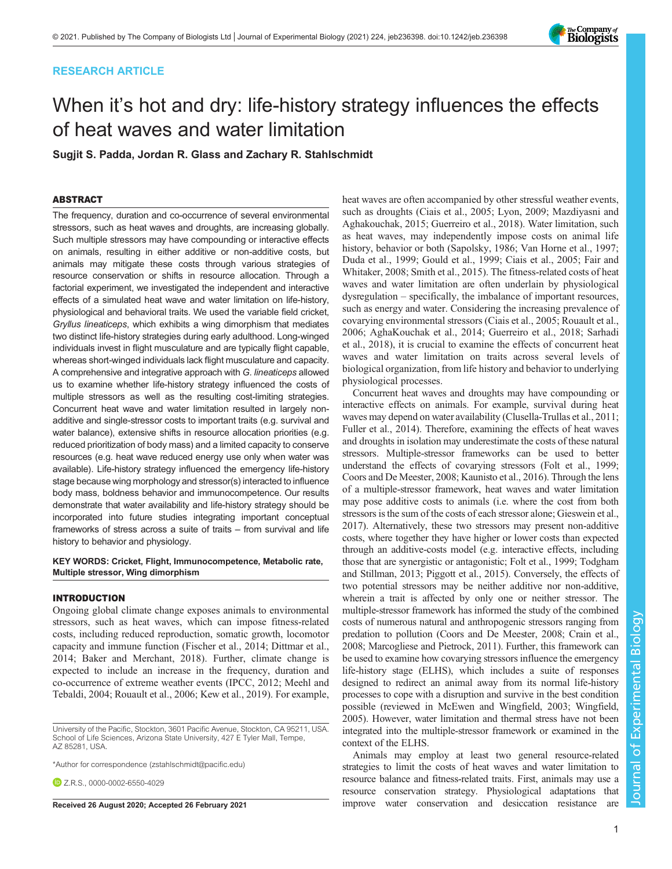# RESEARCH ARTICLE



# When it's hot and dry: life-history strategy influences the effects of heat waves and water limitation

Sugjit S. Padda, Jordan R. Glass and Zachary R. Stahlschmidt

## ABSTRACT

The frequency, duration and co-occurrence of several environmental stressors, such as heat waves and droughts, are increasing globally. Such multiple stressors may have compounding or interactive effects on animals, resulting in either additive or non-additive costs, but animals may mitigate these costs through various strategies of resource conservation or shifts in resource allocation. Through a factorial experiment, we investigated the independent and interactive effects of a simulated heat wave and water limitation on life-history, physiological and behavioral traits. We used the variable field cricket, Gryllus lineaticeps, which exhibits a wing dimorphism that mediates two distinct life-history strategies during early adulthood. Long-winged individuals invest in flight musculature and are typically flight capable, whereas short-winged individuals lack flight musculature and capacity. A comprehensive and integrative approach with G. lineaticeps allowed us to examine whether life-history strategy influenced the costs of multiple stressors as well as the resulting cost-limiting strategies. Concurrent heat wave and water limitation resulted in largely nonadditive and single-stressor costs to important traits (e.g. survival and water balance), extensive shifts in resource allocation priorities (e.g. reduced prioritization of body mass) and a limited capacity to conserve resources (e.g. heat wave reduced energy use only when water was available). Life-history strategy influenced the emergency life-history stage because wing morphology and stressor(s) interacted to influence body mass, boldness behavior and immunocompetence. Our results demonstrate that water availability and life-history strategy should be incorporated into future studies integrating important conceptual frameworks of stress across a suite of traits – from survival and life history to behavior and physiology.

KEY WORDS: Cricket, Flight, Immunocompetence, Metabolic rate, Multiple stressor, Wing dimorphism

## INTRODUCTION

Ongoing global climate change exposes animals to environmental stressors, such as heat waves, which can impose fitness-related costs, including reduced reproduction, somatic growth, locomotor capacity and immune function [\(Fischer et al., 2014; Dittmar et al.,](#page-8-0) [2014](#page-8-0); [Baker and Merchant, 2018\)](#page-7-0). Further, climate change is expected to include an increase in the frequency, duration and co-occurrence of extreme weather events ([IPCC, 2012;](#page-8-0) [Meehl and](#page-9-0) [Tebaldi, 2004; Rouault et al., 2006;](#page-9-0) [Kew et al., 2019\)](#page-8-0). For example,

**D** 7 R S [0000-0002-6550-4029](http://orcid.org/0000-0002-6550-4029)

heat waves are often accompanied by other stressful weather events, such as droughts [\(Ciais et al., 2005;](#page-7-0) [Lyon, 2009; Mazdiyasni and](#page-8-0) [Aghakouchak, 2015](#page-8-0); [Guerreiro et al., 2018](#page-8-0)). Water limitation, such as heat waves, may independently impose costs on animal life history, behavior or both ([Sapolsky, 1986](#page-9-0); [Van Horne et al., 1997](#page-10-0); [Duda et al., 1999](#page-8-0); [Gould et al., 1999](#page-8-0); [Ciais et al., 2005;](#page-7-0) [Fair and](#page-8-0) [Whitaker, 2008](#page-8-0); [Smith et al., 2015\)](#page-9-0). The fitness-related costs of heat waves and water limitation are often underlain by physiological dysregulation – specifically, the imbalance of important resources, such as energy and water. Considering the increasing prevalence of covarying environmental stressors ([Ciais et al., 2005](#page-7-0); [Rouault et al.,](#page-9-0) [2006;](#page-9-0) [AghaKouchak et al., 2014](#page-7-0); [Guerreiro et al., 2018](#page-8-0); [Sarhadi](#page-9-0) [et al., 2018\)](#page-9-0), it is crucial to examine the effects of concurrent heat waves and water limitation on traits across several levels of biological organization, from life history and behavior to underlying physiological processes.

Concurrent heat waves and droughts may have compounding or interactive effects on animals. For example, survival during heat waves may depend on water availability ([Clusella-Trullas et al., 2011](#page-7-0); [Fuller et al., 2014](#page-8-0)). Therefore, examining the effects of heat waves and droughts in isolation may underestimate the costs of these natural stressors. Multiple-stressor frameworks can be used to better understand the effects of covarying stressors ([Folt et al., 1999](#page-8-0); [Coors and De Meester, 2008;](#page-7-0) [Kaunisto et al., 2016](#page-8-0)). Through the lens of a multiple-stressor framework, heat waves and water limitation may pose additive costs to animals (i.e. where the cost from both stressors is the sum of the costs of each stressor alone; [Gieswein et al.,](#page-8-0) [2017\)](#page-8-0). Alternatively, these two stressors may present non-additive costs, where together they have higher or lower costs than expected through an additive-costs model (e.g. interactive effects, including those that are synergistic or antagonistic; [Folt et al., 1999](#page-8-0); [Todgham](#page-9-0) [and Stillman, 2013](#page-9-0); [Piggott et al., 2015](#page-9-0)). Conversely, the effects of two potential stressors may be neither additive nor non-additive, wherein a trait is affected by only one or neither stressor. The multiple-stressor framework has informed the study of the combined costs of numerous natural and anthropogenic stressors ranging from predation to pollution ([Coors and De Meester, 2008](#page-7-0); [Crain et al.,](#page-8-0) [2008; Marcogliese and Pietrock, 2011](#page-8-0)). Further, this framework can be used to examine how covarying stressors influence the emergency life-history stage (ELHS), which includes a suite of responses designed to redirect an animal away from its normal life-history processes to cope with a disruption and survive in the best condition possible (reviewed in [McEwen and Wingfield, 2003](#page-9-0); [Wingfield,](#page-10-0) [2005\)](#page-10-0). However, water limitation and thermal stress have not been integrated into the multiple-stressor framework or examined in the context of the ELHS.

Animals may employ at least two general resource-related strategies to limit the costs of heat waves and water limitation to resource balance and fitness-related traits. First, animals may use a resource conservation strategy. Physiological adaptations that Received 26 August 2020; Accepted 26 February 2021 improve water conservation and desiccation resistance are

University of the Pacific, Stockton, 3601 Pacific Avenue, Stockton, CA 95211, USA. School of Life Sciences, Arizona State University, 427 E Tyler Mall, Tempe, AZ 85281, USA.

<sup>\*</sup>Author for correspondence [\(zstahlschmidt@pacific.edu](mailto:zstahlschmidt@pacific.edu))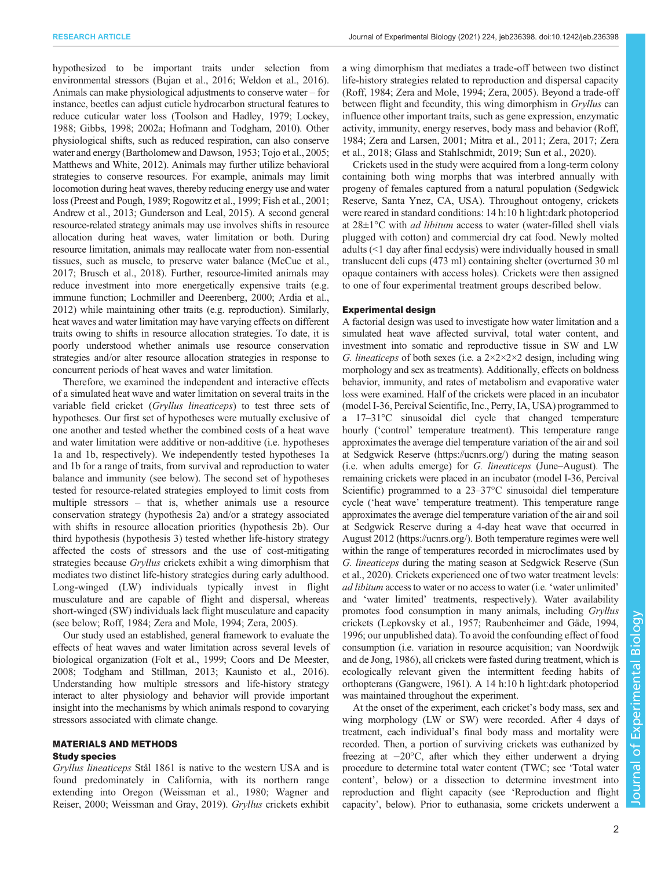hypothesized to be important traits under selection from environmental stressors [\(Bujan et al., 2016](#page-7-0); [Weldon et al., 2016\)](#page-10-0). Animals can make physiological adjustments to conserve water – for instance, beetles can adjust cuticle hydrocarbon structural features to reduce cuticular water loss [\(Toolson and Hadley, 1979;](#page-9-0) [Lockey,](#page-8-0) [1988; Gibbs, 1998](#page-8-0); [2002a](#page-8-0); [Hofmann and Todgham, 2010](#page-8-0)). Other physiological shifts, such as reduced respiration, can also conserve water and energy ([Bartholomew and Dawson, 1953](#page-7-0); [Tojo et al., 2005](#page-9-0); [Matthews and White, 2012\)](#page-8-0). Animals may further utilize behavioral strategies to conserve resources. For example, animals may limit locomotion during heat waves, thereby reducing energy use and water loss [\(Preest and Pough, 1989; Rogowitz et al., 1999;](#page-9-0) [Fish et al., 2001](#page-8-0); [Andrew et al., 2013](#page-7-0); [Gunderson and Leal, 2015](#page-8-0)). A second general resource-related strategy animals may use involves shifts in resource allocation during heat waves, water limitation or both. During resource limitation, animals may reallocate water from non-essential tissues, such as muscle, to preserve water balance [\(McCue et al.,](#page-8-0) [2017;](#page-8-0) [Brusch et al., 2018\)](#page-7-0). Further, resource-limited animals may reduce investment into more energetically expensive traits (e.g. immune function; [Lochmiller and Deerenberg, 2000;](#page-8-0) [Ardia et al.,](#page-7-0) [2012\)](#page-7-0) while maintaining other traits (e.g. reproduction). Similarly, heat waves and water limitation may have varying effects on different traits owing to shifts in resource allocation strategies. To date, it is poorly understood whether animals use resource conservation strategies and/or alter resource allocation strategies in response to concurrent periods of heat waves and water limitation.

Therefore, we examined the independent and interactive effects of a simulated heat wave and water limitation on several traits in the variable field cricket (Gryllus lineaticeps) to test three sets of hypotheses. Our first set of hypotheses were mutually exclusive of one another and tested whether the combined costs of a heat wave and water limitation were additive or non-additive (i.e. hypotheses 1a and 1b, respectively). We independently tested hypotheses 1a and 1b for a range of traits, from survival and reproduction to water balance and immunity (see below). The second set of hypotheses tested for resource-related strategies employed to limit costs from multiple stressors – that is, whether animals use a resource conservation strategy (hypothesis 2a) and/or a strategy associated with shifts in resource allocation priorities (hypothesis 2b). Our third hypothesis (hypothesis 3) tested whether life-history strategy affected the costs of stressors and the use of cost-mitigating strategies because Gryllus crickets exhibit a wing dimorphism that mediates two distinct life-history strategies during early adulthood. Long-winged (LW) individuals typically invest in flight musculature and are capable of flight and dispersal, whereas short-winged (SW) individuals lack flight musculature and capacity (see below; [Roff, 1984;](#page-9-0) [Zera and Mole, 1994](#page-10-0); [Zera, 2005](#page-10-0)).

Our study used an established, general framework to evaluate the effects of heat waves and water limitation across several levels of biological organization [\(Folt et al., 1999;](#page-8-0) [Coors and De Meester,](#page-7-0) [2008;](#page-7-0) [Todgham and Stillman, 2013](#page-9-0); [Kaunisto et al., 2016\)](#page-8-0). Understanding how multiple stressors and life-history strategy interact to alter physiology and behavior will provide important insight into the mechanisms by which animals respond to covarying stressors associated with climate change.

## MATERIALS AND METHODS Study species

Gryllus lineaticeps Stål 1861 is native to the western USA and is found predominately in California, with its northern range extending into Oregon ([Weissman et al., 1980; Wagner and](#page-10-0) [Reiser, 2000](#page-10-0); [Weissman and Gray, 2019\)](#page-10-0). Gryllus crickets exhibit

a wing dimorphism that mediates a trade-off between two distinct life-history strategies related to reproduction and dispersal capacity [\(Roff, 1984;](#page-9-0) [Zera and Mole, 1994](#page-10-0); [Zera, 2005\)](#page-10-0). Beyond a trade-off between flight and fecundity, this wing dimorphism in Gryllus can influence other important traits, such as gene expression, enzymatic activity, immunity, energy reserves, body mass and behavior ([Roff,](#page-9-0) [1984;](#page-9-0) [Zera and Larsen, 2001;](#page-10-0) [Mitra et al., 2011;](#page-9-0) [Zera, 2017; Zera](#page-10-0) [et al., 2018;](#page-10-0) [Glass and Stahlschmidt, 2019;](#page-8-0) [Sun et al., 2020](#page-9-0)).

Crickets used in the study were acquired from a long-term colony containing both wing morphs that was interbred annually with progeny of females captured from a natural population (Sedgwick Reserve, Santa Ynez, CA, USA). Throughout ontogeny, crickets were reared in standard conditions: 14 h:10 h light:dark photoperiod at  $28 \pm 1^{\circ}$ C with *ad libitum* access to water (water-filled shell vials plugged with cotton) and commercial dry cat food. Newly molted adults (<1 day after final ecdysis) were individually housed in small translucent deli cups (473 ml) containing shelter (overturned 30 ml opaque containers with access holes). Crickets were then assigned to one of four experimental treatment groups described below.

## Experimental design

A factorial design was used to investigate how water limitation and a simulated heat wave affected survival, total water content, and investment into somatic and reproductive tissue in SW and LW G. lineaticeps of both sexes (i.e. a  $2 \times 2 \times 2 \times 2$  design, including wing morphology and sex as treatments). Additionally, effects on boldness behavior, immunity, and rates of metabolism and evaporative water loss were examined. Half of the crickets were placed in an incubator (model I-36, Percival Scientific, Inc., Perry, IA, USA) programmed to a 17–31°C sinusoidal diel cycle that changed temperature hourly ('control' temperature treatment). This temperature range approximates the average diel temperature variation of the air and soil at Sedgwick Reserve (<https://ucnrs.org/>) during the mating season (i.e. when adults emerge) for G. lineaticeps (June–August). The remaining crickets were placed in an incubator (model I-36, Percival Scientific) programmed to a 23–37°C sinusoidal diel temperature cycle ('heat wave' temperature treatment). This temperature range approximates the average diel temperature variation of the air and soil at Sedgwick Reserve during a 4-day heat wave that occurred in August 2012 [\(https://ucnrs.org/\)](https://ucnrs.org/). Both temperature regimes were well within the range of temperatures recorded in microclimates used by G. lineaticeps during the mating season at Sedgwick Reserve [\(Sun](#page-9-0) [et al., 2020\)](#page-9-0). Crickets experienced one of two water treatment levels: ad libitum access to water or no access to water (i.e. 'water unlimited' and 'water limited' treatments, respectively). Water availability promotes food consumption in many animals, including Gryllus crickets [\(Lepkovsky et al., 1957;](#page-8-0) [Raubenheimer and Gäde, 1994,](#page-9-0) [1996;](#page-9-0) our unpublished data). To avoid the confounding effect of food consumption (i.e. variation in resource acquisition; [van Noordwijk](#page-10-0) [and de Jong, 1986](#page-10-0)), all crickets were fasted during treatment, which is ecologically relevant given the intermittent feeding habits of orthopterans ([Gangwere, 1961\)](#page-8-0). A 14 h:10 h light:dark photoperiod was maintained throughout the experiment.

At the onset of the experiment, each cricket's body mass, sex and wing morphology (LW or SW) were recorded. After 4 days of treatment, each individual's final body mass and mortality were recorded. Then, a portion of surviving crickets was euthanized by freezing at −20°C, after which they either underwent a drying procedure to determine total water content (TWC; see 'Total water content', below) or a dissection to determine investment into reproduction and flight capacity (see 'Reproduction and flight capacity', below). Prior to euthanasia, some crickets underwent a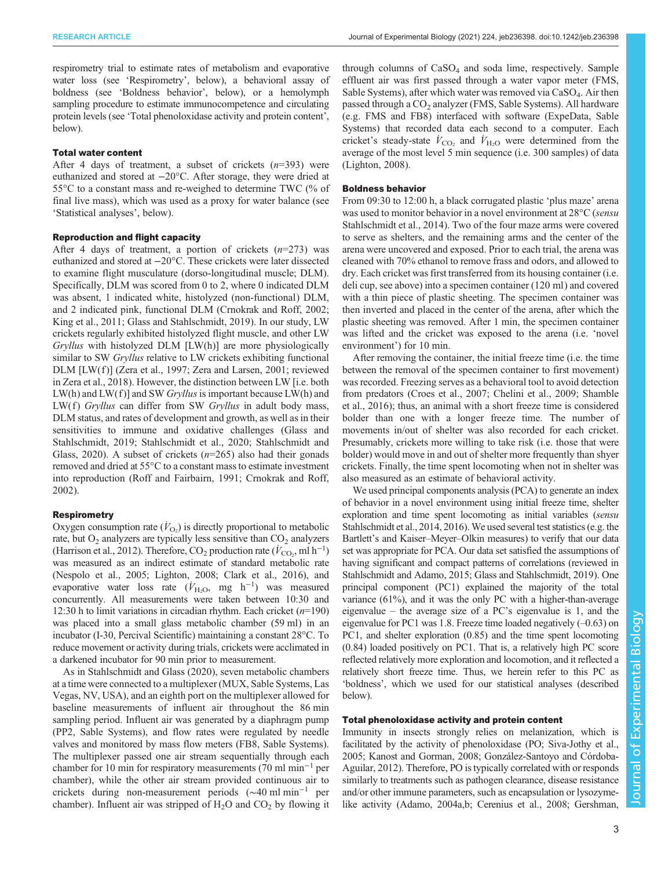respirometry trial to estimate rates of metabolism and evaporative water loss (see 'Respirometry', below), a behavioral assay of boldness (see 'Boldness behavior', below), or a hemolymph sampling procedure to estimate immunocompetence and circulating protein levels (see 'Total phenoloxidase activity and protein content', below).

### Total water content

After 4 days of treatment, a subset of crickets  $(n=393)$  were euthanized and stored at −20°C. After storage, they were dried at 55°C to a constant mass and re-weighed to determine TWC (% of final live mass), which was used as a proxy for water balance (see 'Statistical analyses', below).

## Reproduction and flight capacity

After 4 days of treatment, a portion of crickets  $(n=273)$  was euthanized and stored at −20°C. These crickets were later dissected to examine flight musculature (dorso-longitudinal muscle; DLM). Specifically, DLM was scored from 0 to 2, where 0 indicated DLM was absent, 1 indicated white, histolyzed (non-functional) DLM, and 2 indicated pink, functional DLM ([Crnokrak and Roff, 2002](#page-8-0); [King et al., 2011](#page-8-0); [Glass and Stahlschmidt, 2019](#page-8-0)). In our study, LW crickets regularly exhibited histolyzed flight muscle, and other LW Gryllus with histolyzed DLM [LW(h)] are more physiologically similar to SW Gryllus relative to LW crickets exhibiting functional DLM [LW(f)] [\(Zera et al., 1997](#page-10-0); [Zera and Larsen, 2001;](#page-10-0) reviewed in [Zera et al., 2018](#page-10-0)). However, the distinction between LW [i.e. both  $LW(h)$  and  $LW(f)$ ] and SW *Gryllus* is important because  $LW(h)$  and  $LW(f)$  Gryllus can differ from SW Gryllus in adult body mass, DLM status, and rates of development and growth, as well as in their sensitivities to immune and oxidative challenges [\(Glass and](#page-8-0) [Stahlschmidt, 2019](#page-8-0); [Stahlschmidt et al., 2020; Stahlschmidt and](#page-9-0) [Glass, 2020\)](#page-9-0). A subset of crickets  $(n=265)$  also had their gonads removed and dried at 55°C to a constant mass to estimate investment into reproduction ([Roff and Fairbairn, 1991;](#page-9-0) [Crnokrak and Roff,](#page-8-0) [2002](#page-8-0)).

## **Respirometry**

Oxygen consumption rate  $(\dot{V}_{\text{O}_2})$  is directly proportional to metabolic rate, but  $O_2$  analyzers are typically less sensitive than  $CO_2$  analyzers [\(Harrison et al., 2012](#page-8-0)). Therefore,  $CO_2$  production rate ( $\dot{V}_{CO_2}$ , ml h<sup>-1</sup>) was measured as an indirect estimate of standard metabolic rate [\(Nespolo et al., 2005;](#page-9-0) [Lighton, 2008](#page-8-0); [Clark et al., 2016](#page-7-0)), and evaporative water loss rate ( $\dot{V}_{\text{H}_2\text{O}}$ , mg h<sup>-1</sup>) was measured concurrently. All measurements were taken between 10:30 and 12:30 h to limit variations in circadian rhythm. Each cricket  $(n=190)$ was placed into a small glass metabolic chamber (59 ml) in an incubator (I-30, Percival Scientific) maintaining a constant 28°C. To reduce movement or activity during trials, crickets were acclimated in a darkened incubator for 90 min prior to measurement.

As in [Stahlschmidt and Glass \(2020\)](#page-9-0), seven metabolic chambers at a time were connected to a multiplexer (MUX, Sable Systems, Las Vegas, NV, USA), and an eighth port on the multiplexer allowed for baseline measurements of influent air throughout the 86 min sampling period. Influent air was generated by a diaphragm pump (PP2, Sable Systems), and flow rates were regulated by needle valves and monitored by mass flow meters (FB8, Sable Systems). The multiplexer passed one air stream sequentially through each chamber for 10 min for respiratory measurements (70 ml min−<sup>1</sup> per chamber), while the other air stream provided continuous air to crickets during non-measurement periods (∼40 ml min−<sup>1</sup> per chamber). Influent air was stripped of  $H_2O$  and  $CO_2$  by flowing it through columns of  $CaSO<sub>4</sub>$  and soda lime, respectively. Sample effluent air was first passed through a water vapor meter (FMS, Sable Systems), after which water was removed via  $CaSO<sub>4</sub>$ . Air then passed through a CO<sub>2</sub> analyzer (FMS, Sable Systems). All hardware (e.g. FMS and FB8) interfaced with software (ExpeData, Sable Systems) that recorded data each second to a computer. Each cricket's steady-state  $\dot{V}_{\text{CO}_2}$  and  $\dot{V}_{\text{H}_2\text{O}}$  were determined from the average of the most level 5 min sequence (i.e. 300 samples) of data [\(Lighton, 2008](#page-8-0)).

#### Boldness behavior

From 09:30 to 12:00 h, a black corrugated plastic 'plus maze' arena was used to monitor behavior in a novel environment at 28°C (sensu [Stahlschmidt et al., 2014\)](#page-9-0). Two of the four maze arms were covered to serve as shelters, and the remaining arms and the center of the arena were uncovered and exposed. Prior to each trial, the arena was cleaned with 70% ethanol to remove frass and odors, and allowed to dry. Each cricket was first transferred from its housing container (i.e. deli cup, see above) into a specimen container (120 ml) and covered with a thin piece of plastic sheeting. The specimen container was then inverted and placed in the center of the arena, after which the plastic sheeting was removed. After 1 min, the specimen container was lifted and the cricket was exposed to the arena (i.e. 'novel environment') for 10 min.

After removing the container, the initial freeze time (i.e. the time between the removal of the specimen container to first movement) was recorded. Freezing serves as a behavioral tool to avoid detection from predators ([Croes et al., 2007;](#page-8-0) [Chelini et al., 2009;](#page-7-0) [Shamble](#page-9-0) [et al., 2016](#page-9-0)); thus, an animal with a short freeze time is considered bolder than one with a longer freeze time. The number of movements in/out of shelter was also recorded for each cricket. Presumably, crickets more willing to take risk (i.e. those that were bolder) would move in and out of shelter more frequently than shyer crickets. Finally, the time spent locomoting when not in shelter was also measured as an estimate of behavioral activity.

We used principal components analysis (PCA) to generate an index of behavior in a novel environment using initial freeze time, shelter exploration and time spent locomoting as initial variables (sensu [Stahlschmidt et al., 2014](#page-9-0), [2016\)](#page-9-0). We used several test statistics (e.g. the Bartlett's and Kaiser–Meyer–Olkin measures) to verify that our data set was appropriate for PCA. Our data set satisfied the assumptions of having significant and compact patterns of correlations (reviewed in [Stahlschmidt and Adamo, 2015;](#page-9-0) [Glass and Stahlschmidt, 2019](#page-8-0)). One principal component (PC1) explained the majority of the total variance (61%), and it was the only PC with a higher-than-average eigenvalue – the average size of a PC's eigenvalue is 1, and the eigenvalue for PC1 was 1.8. Freeze time loaded negatively  $(-0.63)$  on PC1, and shelter exploration (0.85) and the time spent locomoting (0.84) loaded positively on PC1. That is, a relatively high PC score reflected relatively more exploration and locomotion, and it reflected a relatively short freeze time. Thus, we herein refer to this PC as 'boldness', which we used for our statistical analyses (described below).

## Total phenoloxidase activity and protein content

Immunity in insects strongly relies on melanization, which is facilitated by the activity of phenoloxidase (PO; [Siva-Jothy et al.,](#page-9-0) [2005;](#page-9-0) [Kanost and Gorman, 2008](#page-8-0); [González-Santoyo and Córdoba-](#page-8-0)[Aguilar, 2012\)](#page-8-0). Therefore, PO is typically correlated with or responds similarly to treatments such as pathogen clearance, disease resistance and/or other immune parameters, such as encapsulation or lysozymelike activity [\(Adamo, 2004a,b](#page-7-0); [Cerenius et al., 2008;](#page-7-0) [Gershman,](#page-8-0)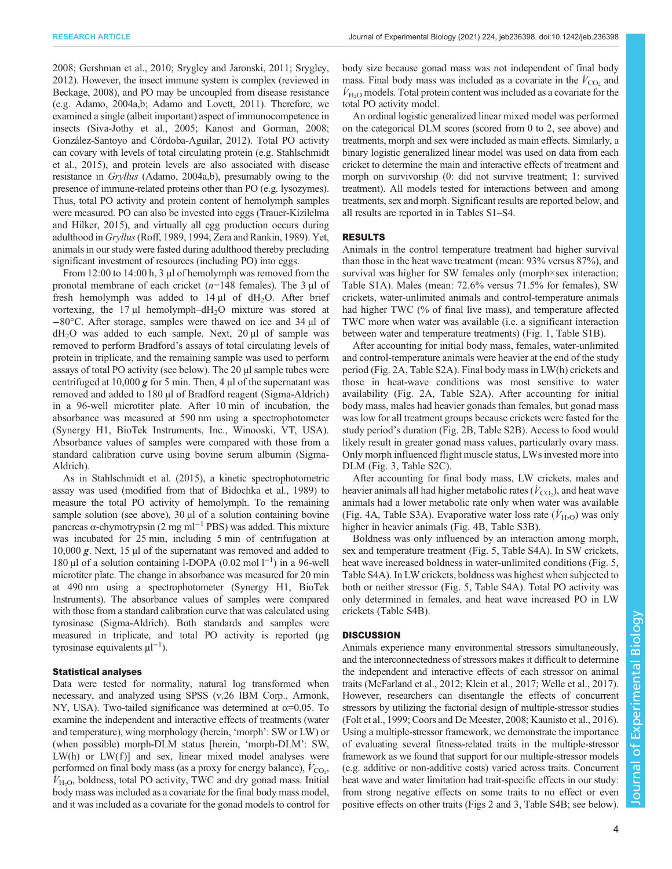[2008; Gershman et al., 2010;](#page-8-0) [Srygley and Jaronski, 2011; Srygley,](#page-9-0) [2012\)](#page-9-0). However, the insect immune system is complex (reviewed in [Beckage, 2008\)](#page-7-0), and PO may be uncoupled from disease resistance (e.g. [Adamo, 2004a](#page-7-0),[b](#page-7-0); [Adamo and Lovett, 2011](#page-7-0)). Therefore, we examined a single (albeit important) aspect of immunocompetence in insects [\(Siva-Jothy et al., 2005;](#page-9-0) [Kanost and Gorman, 2008](#page-8-0); [González-Santoyo and Córdoba-Aguilar, 2012\)](#page-8-0). Total PO activity can covary with levels of total circulating protein (e.g. [Stahlschmidt](#page-9-0) [et al., 2015](#page-9-0)), and protein levels are also associated with disease resistance in Gryllus ([Adamo, 2004a,b\)](#page-7-0), presumably owing to the presence of immune-related proteins other than PO (e.g. lysozymes). Thus, total PO activity and protein content of hemolymph samples were measured. PO can also be invested into eggs ([Trauer-Kizilelma](#page-10-0) [and Hilker, 2015](#page-10-0)), and virtually all egg production occurs during adulthood in Gryllus[\(Roff, 1989](#page-9-0), [1994](#page-9-0); [Zera and Rankin, 1989](#page-10-0)). Yet, animals in our study were fasted during adulthood thereby precluding significant investment of resources (including PO) into eggs.

From 12:00 to 14:00 h, 3 µl of hemolymph was removed from the pronotal membrane of each cricket  $(n=148 \text{ females})$ . The 3 µl of fresh hemolymph was added to  $14 \mu l$  of  $dH_2O$ . After brief vortexing, the  $17 \mu l$  hemolymph–dH<sub>2</sub>O mixture was stored at −80°C. After storage, samples were thawed on ice and 34 µl of  $dH_2O$  was added to each sample. Next, 20  $\mu$ l of sample was removed to perform Bradford's assays of total circulating levels of protein in triplicate, and the remaining sample was used to perform assays of total PO activity (see below). The 20 µl sample tubes were centrifuged at 10,000  $g$  for 5 min. Then, 4  $\mu$ l of the supernatant was removed and added to 180 µl of Bradford reagent (Sigma-Aldrich) in a 96-well microtiter plate. After 10 min of incubation, the absorbance was measured at 590 nm using a spectrophotometer (Synergy H1, BioTek Instruments, Inc., Winooski, VT, USA). Absorbance values of samples were compared with those from a standard calibration curve using bovine serum albumin (Sigma-Aldrich).

As in [Stahlschmidt et al. \(2015\),](#page-9-0) a kinetic spectrophotometric assay was used (modified from that of [Bidochka et al., 1989\)](#page-7-0) to measure the total PO activity of hemolymph. To the remaining sample solution (see above),  $30 \mu l$  of a solution containing bovine pancreas α-chymotrypsin (2 mg ml<sup>-1</sup> PBS) was added. This mixture was incubated for 25 min, including 5 min of centrifugation at 10,000 g. Next, 15 µl of the supernatant was removed and added to 180 μl of a solution containing l-DOPA (0.02 mol l<sup>-1</sup>) in a 96-well microtiter plate. The change in absorbance was measured for 20 min at 490 nm using a spectrophotometer (Synergy H1, BioTek Instruments). The absorbance values of samples were compared with those from a standard calibration curve that was calculated using tyrosinase (Sigma-Aldrich). Both standards and samples were measured in triplicate, and total PO activity is reported (µg tyrosinase equivalents  $\mu$ l<sup>-1</sup>).

#### Statistical analyses

Data were tested for normality, natural log transformed when necessary, and analyzed using SPSS (v.26 IBM Corp., Armonk, NY, USA). Two-tailed significance was determined at  $\alpha$ =0.05. To examine the independent and interactive effects of treatments (water and temperature), wing morphology (herein, 'morph': SW or LW) or (when possible) morph-DLM status [herein, 'morph-DLM': SW,  $LW(h)$  or  $LW(f)$  and sex, linear mixed model analyses were performed on final body mass (as a proxy for energy balance),  $\dot{V}_{\text{CO}_2}$ ,  $V_{\text{H}_2\text{O}}$ , boldness, total PO activity, TWC and dry gonad mass. Initial body mass was included as a covariate for the final body mass model, and it was included as a covariate for the gonad models to control for body size because gonad mass was not independent of final body mass. Final body mass was included as a covariate in the  $\dot{V}_{\text{CO}_2}$  and  $\dot{V}_{\rm H_2O}$  models. Total protein content was included as a covariate for the total PO activity model.

An ordinal logistic generalized linear mixed model was performed on the categorical DLM scores (scored from 0 to 2, see above) and treatments, morph and sex were included as main effects. Similarly, a binary logistic generalized linear model was used on data from each cricket to determine the main and interactive effects of treatment and morph on survivorship (0: did not survive treatment; 1: survived treatment). All models tested for interactions between and among treatments, sex and morph. Significant results are reported below, and all results are reported in in [Tables S1](http://jeb.biologists.org/lookup/doi/10.1242/jeb.236398.supplemental)–S4.

## RESULTS

Animals in the control temperature treatment had higher survival than those in the heat wave treatment (mean: 93% versus 87%), and survival was higher for SW females only (morph×sex interaction; [Table S1A](http://jeb.biologists.org/lookup/doi/10.1242/jeb.236398.supplemental)). Males (mean: 72.6% versus 71.5% for females), SW crickets, water-unlimited animals and control-temperature animals had higher TWC (% of final live mass), and temperature affected TWC more when water was available (i.e. a significant interaction between water and temperature treatments) [\(Fig. 1,](#page-4-0) [Table S1B](http://jeb.biologists.org/lookup/doi/10.1242/jeb.236398.supplemental)).

After accounting for initial body mass, females, water-unlimited and control-temperature animals were heavier at the end of the study period [\(Fig. 2A](#page-4-0), [Table S2A\)](http://jeb.biologists.org/lookup/doi/10.1242/jeb.236398.supplemental). Final body mass in LW(h) crickets and those in heat-wave conditions was most sensitive to water availability [\(Fig. 2](#page-4-0)A, [Table S2A\)](http://jeb.biologists.org/lookup/doi/10.1242/jeb.236398.supplemental). After accounting for initial body mass, males had heavier gonads than females, but gonad mass was low for all treatment groups because crickets were fasted for the study period's duration [\(Fig. 2](#page-4-0)B, [Table S2B\)](http://jeb.biologists.org/lookup/doi/10.1242/jeb.236398.supplemental). Access to food would likely result in greater gonad mass values, particularly ovary mass. Only morph influenced flight muscle status, LWs invested more into DLM ([Fig. 3](#page-5-0), [Table S2C](http://jeb.biologists.org/lookup/doi/10.1242/jeb.236398.supplemental)).

After accounting for final body mass, LW crickets, males and heavier animals all had higher metabolic rates ( $\dot{V}_{\rm CO_2}$ ), and heat wave animals had a lower metabolic rate only when water was available [\(Fig. 4A](#page-6-0), [Table S3A](http://jeb.biologists.org/lookup/doi/10.1242/jeb.236398.supplemental)). Evaporative water loss rate  $(\dot{V}_{\rm H_2O})$  was only higher in heavier animals ([Fig. 4](#page-6-0)B, [Table S3B\)](http://jeb.biologists.org/lookup/doi/10.1242/jeb.236398.supplemental).

Boldness was only influenced by an interaction among morph, sex and temperature treatment ([Fig. 5,](#page-6-0) [Table S4A\)](http://jeb.biologists.org/lookup/doi/10.1242/jeb.236398.supplemental). In SW crickets, heat wave increased boldness in water-unlimited conditions ([Fig. 5,](#page-6-0) [Table S4A\)](http://jeb.biologists.org/lookup/doi/10.1242/jeb.236398.supplemental). In LW crickets, boldness was highest when subjected to both or neither stressor [\(Fig. 5,](#page-6-0) [Table S4A\)](http://jeb.biologists.org/lookup/doi/10.1242/jeb.236398.supplemental). Total PO activity was only determined in females, and heat wave increased PO in LW crickets ([Table S4B\)](http://jeb.biologists.org/lookup/doi/10.1242/jeb.236398.supplemental).

## **DISCUSSION**

Animals experience many environmental stressors simultaneously, and the interconnectedness of stressors makes it difficult to determine the independent and interactive effects of each stressor on animal traits [\(McFarland et al., 2012](#page-9-0); [Klein et al., 2017](#page-8-0); [Welle et al., 2017\)](#page-10-0). However, researchers can disentangle the effects of concurrent stressors by utilizing the factorial design of multiple-stressor studies [\(Folt et al., 1999](#page-8-0); [Coors and De Meester, 2008](#page-7-0); [Kaunisto et al., 2016\)](#page-8-0). Using a multiple-stressor framework, we demonstrate the importance of evaluating several fitness-related traits in the multiple-stressor framework as we found that support for our multiple-stressor models (e.g. additive or non-additive costs) varied across traits. Concurrent heat wave and water limitation had trait-specific effects in our study: from strong negative effects on some traits to no effect or even positive effects on other traits ([Figs 2](#page-4-0) and [3,](#page-5-0) [Table S4B](http://jeb.biologists.org/lookup/doi/10.1242/jeb.236398.supplemental); see below).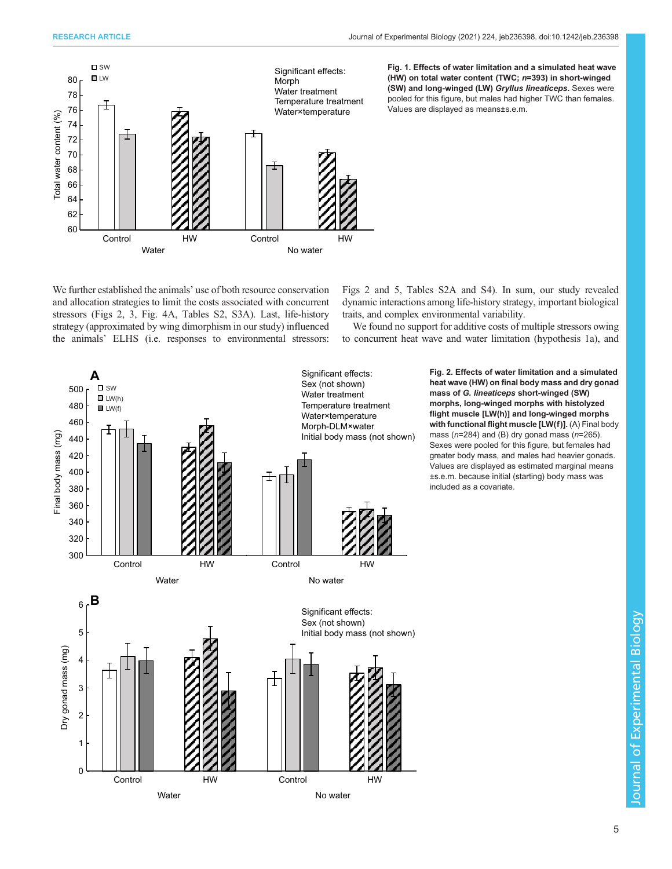<span id="page-4-0"></span>

We further established the animals' use of both resource conservation and allocation strategies to limit the costs associated with concurrent stressors (Figs 2, [3,](#page-5-0) [Fig. 4A](#page-6-0), [Tables S2, S3A\)](http://jeb.biologists.org/lookup/doi/10.1242/jeb.236398.supplemental). Last, life-history strategy (approximated by wing dimorphism in our study) influenced the animals' ELHS (i.e. responses to environmental stressors:

Figs 2 and [5](#page-6-0), [Tables S2A](http://jeb.biologists.org/lookup/doi/10.1242/jeb.236398.supplemental) and [S4](http://jeb.biologists.org/lookup/doi/10.1242/jeb.236398.supplemental)). In sum, our study revealed dynamic interactions among life-history strategy, important biological traits, and complex environmental variability.

We found no support for additive costs of multiple stressors owing to concurrent heat wave and water limitation (hypothesis 1a), and



Fig. 2. Effects of water limitation and a simulated heat wave (HW) on final body mass and dry gonad mass of G. lineaticeps short-winged (SW) morphs, long-winged morphs with histolyzed flight muscle [LW(h)] and long-winged morphs with functional flight muscle [LW(f)]. (A) Final body mass ( $n=284$ ) and (B) dry gonad mass ( $n=265$ ). Sexes were pooled for this figure, but females had greater body mass, and males had heavier gonads. Values are displayed as estimated marginal means ±s.e.m. because initial (starting) body mass was included as a covariate.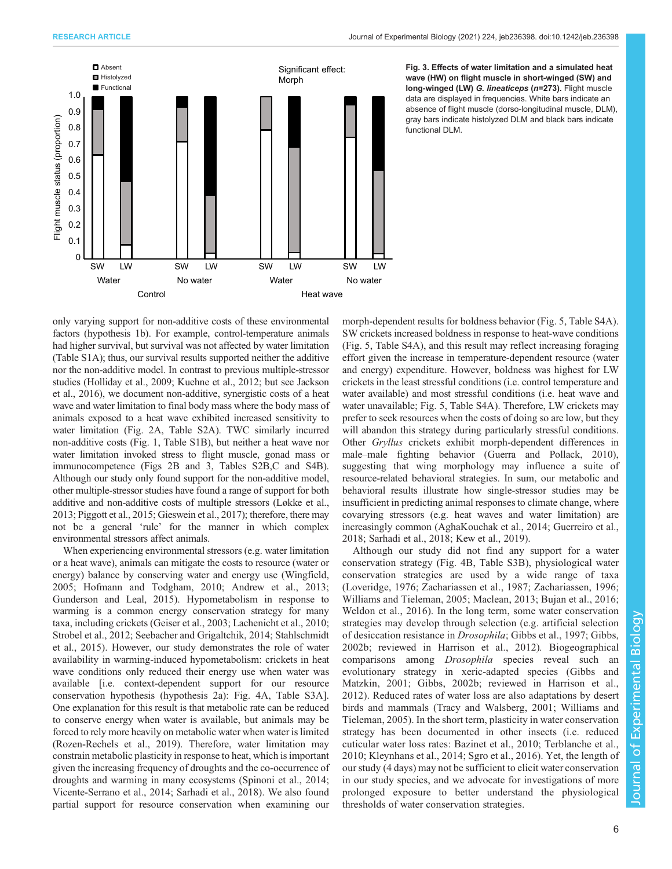<span id="page-5-0"></span>

Fig. 3. Effects of water limitation and a simulated heat wave (HW) on flight muscle in short-winged (SW) and long-winged (LW) G. lineaticeps (n=273). Flight muscle data are displayed in frequencies. White bars indicate an absence of flight muscle (dorso-longitudinal muscle, DLM), gray bars indicate histolyzed DLM and black bars indicate functional DLM.

only varying support for non-additive costs of these environmental factors (hypothesis 1b). For example, control-temperature animals had higher survival, but survival was not affected by water limitation [\(Table S1A\)](http://jeb.biologists.org/lookup/doi/10.1242/jeb.236398.supplemental); thus, our survival results supported neither the additive nor the non-additive model. In contrast to previous multiple-stressor studies [\(Holliday et al., 2009](#page-8-0); [Kuehne et al., 2012;](#page-8-0) but see [Jackson](#page-8-0) [et al., 2016](#page-8-0)), we document non-additive, synergistic costs of a heat wave and water limitation to final body mass where the body mass of animals exposed to a heat wave exhibited increased sensitivity to water limitation [\(Fig. 2](#page-4-0)A, [Table S2A](http://jeb.biologists.org/lookup/doi/10.1242/jeb.236398.supplemental)). TWC similarly incurred non-additive costs ([Fig. 1,](#page-4-0) [Table S1B](http://jeb.biologists.org/lookup/doi/10.1242/jeb.236398.supplemental)), but neither a heat wave nor water limitation invoked stress to flight muscle, gonad mass or immunocompetence (Figs 2B and 3, [Tables S2B,C and S4B\)](http://jeb.biologists.org/lookup/doi/10.1242/jeb.236398.supplemental). Although our study only found support for the non-additive model, other multiple-stressor studies have found a range of support for both additive and non-additive costs of multiple stressors ([Løkke et al.,](#page-8-0) [2013;](#page-8-0) [Piggott et al., 2015](#page-9-0); [Gieswein et al., 2017](#page-8-0)); therefore, there may not be a general 'rule' for the manner in which complex environmental stressors affect animals.

When experiencing environmental stressors (e.g. water limitation or a heat wave), animals can mitigate the costs to resource (water or energy) balance by conserving water and energy use ([Wingfield,](#page-10-0) [2005](#page-10-0); [Hofmann and Todgham, 2010](#page-8-0); [Andrew et al., 2013](#page-7-0); [Gunderson and Leal, 2015\)](#page-8-0). Hypometabolism in response to warming is a common energy conservation strategy for many taxa, including crickets ([Geiser et al., 2003; Lachenicht et al., 2010](#page-8-0); [Strobel et al., 2012; Seebacher and Grigaltchik, 2014](#page-9-0); [Stahlschmidt](#page-9-0) [et al., 2015\)](#page-9-0). However, our study demonstrates the role of water availability in warming-induced hypometabolism: crickets in heat wave conditions only reduced their energy use when water was available [i.e. context-dependent support for our resource conservation hypothesis (hypothesis 2a): [Fig. 4A](#page-6-0), [Table S3A\]](http://jeb.biologists.org/lookup/doi/10.1242/jeb.236398.supplemental). One explanation for this result is that metabolic rate can be reduced to conserve energy when water is available, but animals may be forced to rely more heavily on metabolic water when water is limited [\(Rozen-Rechels et al., 2019](#page-9-0)). Therefore, water limitation may constrain metabolic plasticity in response to heat, which is important given the increasing frequency of droughts and the co-occurrence of droughts and warming in many ecosystems ([Spinoni et al., 2014](#page-9-0); [Vicente-Serrano et al., 2014](#page-10-0); [Sarhadi et al., 2018\)](#page-9-0). We also found partial support for resource conservation when examining our

morph-dependent results for boldness behavior ([Fig. 5](#page-6-0), [Table S4A\)](http://jeb.biologists.org/lookup/doi/10.1242/jeb.236398.supplemental). SW crickets increased boldness in response to heat-wave conditions [\(Fig. 5](#page-6-0), [Table S4A\)](http://jeb.biologists.org/lookup/doi/10.1242/jeb.236398.supplemental), and this result may reflect increasing foraging effort given the increase in temperature-dependent resource (water and energy) expenditure. However, boldness was highest for LW crickets in the least stressful conditions (i.e. control temperature and water available) and most stressful conditions (i.e. heat wave and water unavailable; [Fig. 5](#page-6-0), [Table S4A\)](http://jeb.biologists.org/lookup/doi/10.1242/jeb.236398.supplemental). Therefore, LW crickets may prefer to seek resources when the costs of doing so are low, but they will abandon this strategy during particularly stressful conditions. Other Gryllus crickets exhibit morph-dependent differences in male–male fighting behavior [\(Guerra and Pollack, 2010\)](#page-8-0), suggesting that wing morphology may influence a suite of resource-related behavioral strategies. In sum, our metabolic and behavioral results illustrate how single-stressor studies may be insufficient in predicting animal responses to climate change, where covarying stressors (e.g. heat waves and water limitation) are increasingly common [\(AghaKouchak et al., 2014](#page-7-0); [Guerreiro et al.,](#page-8-0) [2018;](#page-8-0) [Sarhadi et al., 2018](#page-9-0); [Kew et al., 2019](#page-8-0)).

Although our study did not find any support for a water conservation strategy ([Fig. 4B](#page-6-0), [Table S3B\)](http://jeb.biologists.org/lookup/doi/10.1242/jeb.236398.supplemental), physiological water conservation strategies are used by a wide range of taxa [\(Loveridge, 1976](#page-8-0); [Zachariassen et al., 1987](#page-10-0); [Zachariassen, 1996](#page-10-0); [Williams and Tieleman, 2005](#page-10-0); [Maclean, 2013](#page-8-0); [Bujan et al., 2016](#page-7-0); [Weldon et al., 2016\)](#page-10-0). In the long term, some water conservation strategies may develop through selection (e.g. artificial selection of desiccation resistance in Drosophila; [Gibbs et al., 1997; Gibbs,](#page-8-0) [2002b](#page-8-0); reviewed in [Harrison et al., 2012\)](#page-8-0). Biogeographical comparisons among Drosophila species reveal such an evolutionary strategy in xeric-adapted species [\(Gibbs and](#page-8-0) [Matzkin, 2001; Gibbs, 2002b](#page-8-0); reviewed in [Harrison et al.,](#page-8-0) [2012](#page-8-0)). Reduced rates of water loss are also adaptations by desert birds and mammals [\(Tracy and Walsberg, 2001](#page-10-0); [Williams and](#page-10-0) [Tieleman, 2005\)](#page-10-0). In the short term, plasticity in water conservation strategy has been documented in other insects (i.e. reduced cuticular water loss rates: [Bazinet et al., 2010;](#page-7-0) [Terblanche et al.,](#page-9-0) [2010](#page-9-0); [Kleynhans et al., 2014](#page-8-0); [Sgro et al., 2016\)](#page-9-0). Yet, the length of our study (4 days) may not be sufficient to elicit water conservation in our study species, and we advocate for investigations of more prolonged exposure to better understand the physiological thresholds of water conservation strategies.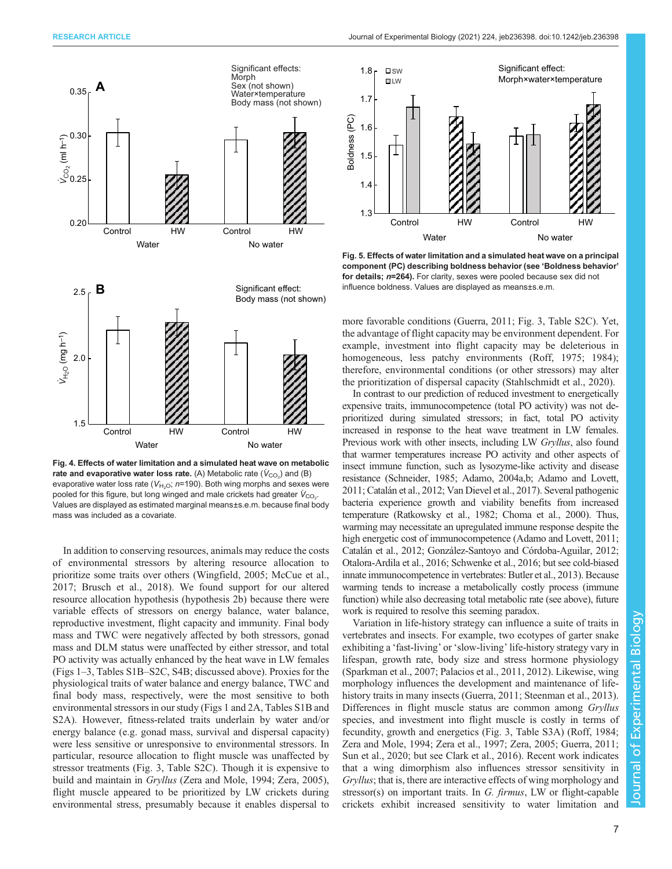<span id="page-6-0"></span>

Fig. 4. Effects of water limitation and a simulated heat wave on metabolic rate and evaporative water loss rate. (A) Metabolic rate  $(\dot{\mathsf{V}}_{\mathrm{CO}_2})$  and (B) evaporative water loss rate ( $V_{\text{H}_2\text{O}}$ ; n=190). Both wing morphs and sexes were pooled for this figure, but long winged and male crickets had greater  $\dot{V}_{\rm CO_2}$ . Values are displayed as estimated marginal means±s.e.m. because final body mass was included as a covariate.

In addition to conserving resources, animals may reduce the costs of environmental stressors by altering resource allocation to prioritize some traits over others [\(Wingfield, 2005;](#page-10-0) [McCue et al.,](#page-8-0) [2017](#page-8-0); [Brusch et al., 2018](#page-7-0)). We found support for our altered resource allocation hypothesis (hypothesis 2b) because there were variable effects of stressors on energy balance, water balance, reproductive investment, flight capacity and immunity. Final body mass and TWC were negatively affected by both stressors, gonad mass and DLM status were unaffected by either stressor, and total PO activity was actually enhanced by the heat wave in LW females [\(Figs 1](#page-4-0)–[3,](#page-5-0) [Tables S1B](http://jeb.biologists.org/lookup/doi/10.1242/jeb.236398.supplemental)–S2C, S4B; discussed above). Proxies for the physiological traits of water balance and energy balance, TWC and final body mass, respectively, were the most sensitive to both environmental stressors in our study [\(Figs 1](#page-4-0) and [2A](#page-4-0), [Tables S1B and](http://jeb.biologists.org/lookup/doi/10.1242/jeb.236398.supplemental) [S2A\)](http://jeb.biologists.org/lookup/doi/10.1242/jeb.236398.supplemental). However, fitness-related traits underlain by water and/or energy balance (e.g. gonad mass, survival and dispersal capacity) were less sensitive or unresponsive to environmental stressors. In particular, resource allocation to flight muscle was unaffected by stressor treatments [\(Fig. 3](#page-5-0), [Table S2C](http://jeb.biologists.org/lookup/doi/10.1242/jeb.236398.supplemental)). Though it is expensive to build and maintain in Gryllus [\(Zera and Mole, 1994; Zera, 2005\)](#page-10-0), flight muscle appeared to be prioritized by LW crickets during environmental stress, presumably because it enables dispersal to



Fig. 5. Effects of water limitation and a simulated heat wave on a principal component (PC) describing boldness behavior (see 'Boldness behavior' for details;  $n=264$ ). For clarity, sexes were pooled because sex did not influence boldness. Values are displayed as means±s.e.m.

more favorable conditions ([Guerra, 2011;](#page-8-0) [Fig. 3,](#page-5-0) [Table S2C\)](http://jeb.biologists.org/lookup/doi/10.1242/jeb.236398.supplemental). Yet, the advantage of flight capacity may be environment dependent. For example, investment into flight capacity may be deleterious in homogeneous, less patchy environments ([Roff, 1975](#page-9-0); [1984](#page-9-0)); therefore, environmental conditions (or other stressors) may alter the prioritization of dispersal capacity ([Stahlschmidt et al., 2020](#page-9-0)).

In contrast to our prediction of reduced investment to energetically expensive traits, immunocompetence (total PO activity) was not deprioritized during simulated stressors; in fact, total PO activity increased in response to the heat wave treatment in LW females. Previous work with other insects, including LW Gryllus, also found that warmer temperatures increase PO activity and other aspects of insect immune function, such as lysozyme-like activity and disease resistance ([Schneider, 1985;](#page-9-0) [Adamo, 2004a,b; Adamo and Lovett,](#page-7-0) [2011](#page-7-0); [Catalán et al., 2012;](#page-7-0) [Van Dievel et al., 2017](#page-10-0)). Several pathogenic bacteria experience growth and viability benefits from increased temperature ([Ratkowsky et al., 1982](#page-9-0); [Choma et al., 2000\)](#page-7-0). Thus, warming may necessitate an upregulated immune response despite the high energetic cost of immunocompetence ([Adamo and Lovett, 2011](#page-7-0); [Catalán et al., 2012](#page-7-0); [González-Santoyo and Córdoba-Aguilar, 2012](#page-8-0); [Otalora-Ardila et al., 2016; Schwenke et al., 2016](#page-9-0); but see cold-biased innate immunocompetence in vertebrates: [Butler et al., 2013\)](#page-7-0). Because warming tends to increase a metabolically costly process (immune function) while also decreasing total metabolic rate (see above), future work is required to resolve this seeming paradox.

Variation in life-history strategy can influence a suite of traits in vertebrates and insects. For example, two ecotypes of garter snake exhibiting a 'fast-living' or 'slow-living' life-history strategy vary in lifespan, growth rate, body size and stress hormone physiology [\(Sparkman et al., 2007; Palacios et al., 2011, 2012](#page-9-0)). Likewise, wing morphology influences the development and maintenance of lifehistory traits in many insects ([Guerra, 2011](#page-8-0); [Steenman et al., 2013\)](#page-9-0). Differences in flight muscle status are common among Gryllus species, and investment into flight muscle is costly in terms of fecundity, growth and energetics [\(Fig. 3,](#page-5-0) [Table S3A](http://jeb.biologists.org/lookup/doi/10.1242/jeb.236398.supplemental)) [\(Roff, 1984](#page-9-0); [Zera and Mole, 1994](#page-10-0); [Zera et al., 1997; Zera, 2005](#page-10-0); [Guerra, 2011](#page-8-0); [Sun et al., 2020;](#page-9-0) but see [Clark et al., 2016](#page-7-0)). Recent work indicates that a wing dimorphism also influences stressor sensitivity in Gryllus; that is, there are interactive effects of wing morphology and stressor(s) on important traits. In G. firmus, LW or flight-capable crickets exhibit increased sensitivity to water limitation and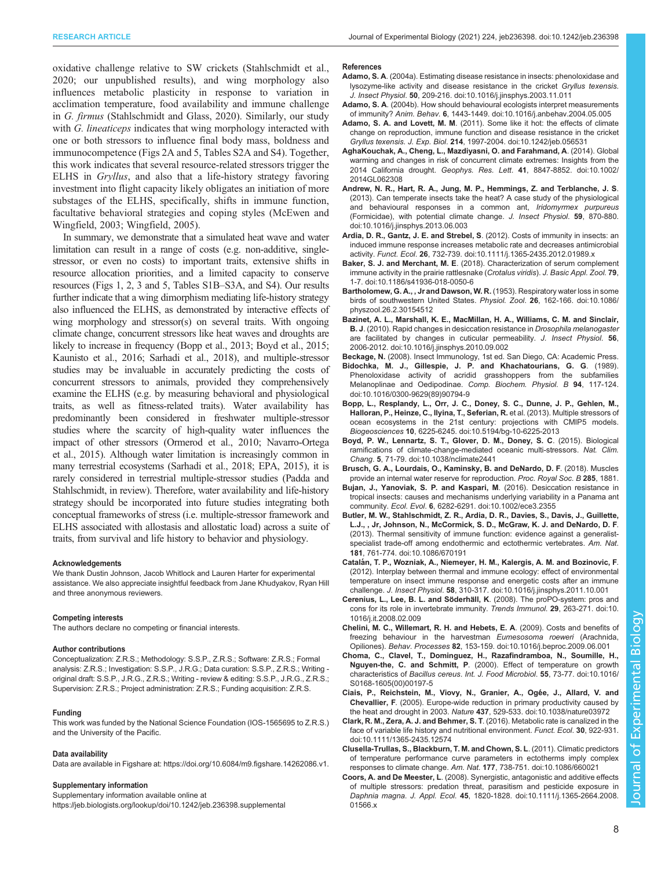<span id="page-7-0"></span>RESEARCH ARTICLE **ARTICLE** ARTICLE ARTICLE **Journal of Experimental Biology (2021)** 224, jeb236398. doi:10.1242/jeb.236398

oxidative challenge relative to SW crickets [\(Stahlschmidt et al.,](#page-9-0) [2020](#page-9-0); our unpublished results), and wing morphology also influences metabolic plasticity in response to variation in acclimation temperature, food availability and immune challenge in G. firmus ([Stahlschmidt and Glass, 2020](#page-9-0)). Similarly, our study with G. lineaticeps indicates that wing morphology interacted with one or both stressors to influence final body mass, boldness and immunocompetence [\(Figs](http://jeb.biologists.org/lookup/doi/10.1242/jeb.236398.supplemental) 2A and [5](#page-6-0), [Tables S2A and S4\)](http://jeb.biologists.org/lookup/doi/10.1242/jeb.236398.supplemental). Together, this work indicates that several resource-related stressors trigger the ELHS in Gryllus, and also that a life-history strategy favoring investment into flight capacity likely obligates an initiation of more substages of the ELHS, specifically, shifts in immune function, facultative behavioral strategies and coping styles [\(McEwen and](#page-9-0) [Wingfield, 2003;](#page-9-0) [Wingfield, 2005](#page-10-0)).

In summary, we demonstrate that a simulated heat wave and water limitation can result in a range of costs (e.g. non-additive, singlestressor, or even no costs) to important traits, extensive shifts in resource allocation priorities, and a limited capacity to conserve resources [\(Figs 1](#page-4-0), [2,](#page-4-0) [3](#page-5-0) and [5,](#page-6-0) Tables S1B–[S3A, and S4\)](http://jeb.biologists.org/lookup/doi/10.1242/jeb.236398.supplemental). Our results further indicate that a wing dimorphism mediating life-history strategy also influenced the ELHS, as demonstrated by interactive effects of wing morphology and stressor(s) on several traits. With ongoing climate change, concurrent stressors like heat waves and droughts are likely to increase in frequency (Bopp et al., 2013; Boyd et al., 2015; [Kaunisto et al., 2016](#page-8-0); [Sarhadi et al., 2018\)](#page-9-0), and multiple-stressor studies may be invaluable in accurately predicting the costs of concurrent stressors to animals, provided they comprehensively examine the ELHS (e.g. by measuring behavioral and physiological traits, as well as fitness-related traits). Water availability has predominantly been considered in freshwater multiple-stressor studies where the scarcity of high-quality water influences the impact of other stressors [\(Ormerod et al., 2010; Navarro-Ortega](#page-9-0) [et al., 2015](#page-9-0)). Although water limitation is increasingly common in many terrestrial ecosystems [\(Sarhadi et al., 2018;](#page-9-0) [EPA, 2015\)](#page-8-0), it is rarely considered in terrestrial multiple-stressor studies (Padda and Stahlschmidt, in review). Therefore, water availability and life-history strategy should be incorporated into future studies integrating both conceptual frameworks of stress (i.e. multiple-stressor framework and ELHS associated with allostasis and allostatic load) across a suite of traits, from survival and life history to behavior and physiology.

#### Acknowledgements

We thank Dustin Johnson, Jacob Whitlock and Lauren Harter for experimental assistance. We also appreciate insightful feedback from Jane Khudyakov, Ryan Hill and three anonymous reviewers.

#### Competing interests

The authors declare no competing or financial interests.

#### Author contributions

Conceptualization: Z.R.S.; Methodology: S.S.P., Z.R.S.; Software: Z.R.S.; Formal analysis: Z.R.S.; Investigation: S.S.P., J.R.G.; Data curation: S.S.P., Z.R.S.; Writing original draft: S.S.P., J.R.G., Z.R.S.; Writing - review & editing: S.S.P., J.R.G., Z.R.S.; Supervision: Z.R.S.; Project administration: Z.R.S.; Funding acquisition: Z.R.S.

#### Funding

This work was funded by the National Science Foundation (IOS-1565695 to Z.R.S.) and the University of the Pacific.

#### Data availability

Data are available in Figshare at:<https://doi.org/10.6084/m9.figshare.14262086.v1>.

#### Supplementary information

Supplementary information available online at <https://jeb.biologists.org/lookup/doi/10.1242/jeb.236398.supplemental>

#### References

- Adamo, S. A[. \(2004a\). Estimating disease resistance in insects: phenoloxidase and](https://doi.org/10.1016/j.jinsphys.2003.11.011) [lysozyme-like activity and disease resistance in the cricket](https://doi.org/10.1016/j.jinsphys.2003.11.011) Gryllus texensis. J. Insect Physiol. 50[, 209-216. doi:10.1016/j.jinsphys.2003.11.011](https://doi.org/10.1016/j.jinsphys.2003.11.011)
- Adamo, S. A[. \(2004b\). How should behavioural ecologists interpret measurements](https://doi.org/10.1016/j.anbehav.2004.05.005) of immunity? Anim. Behav. 6[, 1443-1449. doi:10.1016/j.anbehav.2004.05.005](https://doi.org/10.1016/j.anbehav.2004.05.005)
- Adamo, S. A. and Lovett, M. M[. \(2011\). Some like it hot: the effects of climate](https://doi.org/10.1242/jeb.056531) [change on reproduction, immune function and disease resistance in the cricket](https://doi.org/10.1242/jeb.056531) Gryllus texensis. J. Exp. Biol. 214[, 1997-2004. doi:10.1242/jeb.056531](https://doi.org/10.1242/jeb.056531)
- [AghaKouchak, A., Cheng, L., Mazdiyasni, O. and Farahmand, A](https://doi.org/10.1002/2014GL062308). (2014). Global [warming and changes in risk of concurrent climate extremes: Insights from the](https://doi.org/10.1002/2014GL062308) 2014 California drought. Geophys. Res. Lett. 41[, 8847-8852. doi:10.1002/](https://doi.org/10.1002/2014GL062308) [2014GL062308](https://doi.org/10.1002/2014GL062308)
- [Andrew, N. R., Hart, R. A., Jung, M. P., Hemmings, Z. and Terblanche, J. S](https://doi.org/10.1016/j.jinsphys.2013.06.003). [\(2013\). Can temperate insects take the heat? A case study of the physiological](https://doi.org/10.1016/j.jinsphys.2013.06.003) [and behavioural responses in a common ant,](https://doi.org/10.1016/j.jinsphys.2013.06.003) Iridomyrmex purpureus [\(Formicidae\), with potential climate change.](https://doi.org/10.1016/j.jinsphys.2013.06.003) J. Insect Physiol. 59, 870-880. [doi:10.1016/j.jinsphys.2013.06.003](https://doi.org/10.1016/j.jinsphys.2013.06.003)
- [Ardia, D. R., Gantz, J. E. and Strebel, S](https://doi.org/10.1111/j.1365-2435.2012.01989.x). (2012). Costs of immunity in insects: an [induced immune response increases metabolic rate and decreases antimicrobial](https://doi.org/10.1111/j.1365-2435.2012.01989.x) activity. Funct. Ecol. 26[, 732-739. doi:10.1111/j.1365-2435.2012.01989.x](https://doi.org/10.1111/j.1365-2435.2012.01989.x)
- Baker, S. J. and Merchant, M. E[. \(2018\). Characterization of serum complement](https://doi.org/10.1186/s41936-018-0050-6) [immune activity in the prairie rattlesnake \(](https://doi.org/10.1186/s41936-018-0050-6)Crotalus viridis). J. Basic Appl. Zool. 79, [1-7. doi:10.1186/s41936-018-0050-6](https://doi.org/10.1186/s41936-018-0050-6)
- [Bartholomew, G. A., , Jr and Dawson, W. R.](https://doi.org/10.1086/physzool.26.2.30154512) (1953). Respiratory water loss in some [birds of southwestern United States.](https://doi.org/10.1086/physzool.26.2.30154512) Physiol. Zool. 26, 162-166. doi:10.1086/ [physzool.26.2.30154512](https://doi.org/10.1086/physzool.26.2.30154512)
- [Bazinet, A. L., Marshall, K. E., MacMillan, H. A., Williams, C. M. and Sinclair,](https://doi.org/10.1016/j.jinsphys.2010.09.002) B. J[. \(2010\). Rapid changes in desiccation resistance in](https://doi.org/10.1016/j.jinsphys.2010.09.002) Drosophila melanogaster [are facilitated by changes in cuticular permeability.](https://doi.org/10.1016/j.jinsphys.2010.09.002) J. Insect Physiol. 56, [2006-2012. doi:10.1016/j.jinsphys.2010.09.002](https://doi.org/10.1016/j.jinsphys.2010.09.002)
- Beckage, N. (2008). Insect Immunology, 1st ed. San Diego, CA: Academic Press. [Bidochka, M. J., Gillespie, J. P. and Khachatourians, G. G](https://doi.org/10.1016/0300-9629(89)90794-9). (1989).
- [Phenoloxidase activity of acridid grasshoppers from the subfamilies](https://doi.org/10.1016/0300-9629(89)90794-9) [Melanoplinae and Oedipodinae.](https://doi.org/10.1016/0300-9629(89)90794-9) Comp. Biochem. Physiol. B 94, 117-124. [doi:10.1016/0300-9629\(89\)90794-9](https://doi.org/10.1016/0300-9629(89)90794-9)
- [Bopp, L., Resplandy, L., Orr, J. C., Doney, S. C., Dunne, J. P., Gehlen, M.,](https://doi.org/10.5194/bg-10-6225-2013) [Halloran, P., Heinze, C., Ilyina, T., Seferian, R.](https://doi.org/10.5194/bg-10-6225-2013) et al. (2013). Multiple stressors of [ocean ecosystems in the 21st century: projections with CMIP5 models.](https://doi.org/10.5194/bg-10-6225-2013) Biogeosciences 10[, 6225-6245. doi:10.5194/bg-10-6225-2013](https://doi.org/10.5194/bg-10-6225-2013)
- [Boyd, P. W., Lennartz, S. T., Glover, D. M., Doney, S. C](https://doi.org/10.1038/nclimate2441). (2015). Biological [ramifications of climate-change-mediated oceanic multi-stressors.](https://doi.org/10.1038/nclimate2441) Nat. Clim. Chang. 5[, 71-79. doi:10.1038/nclimate2441](https://doi.org/10.1038/nclimate2441)
- Brusch, G. A., Lourdais, O., Kaminsky, B. and DeNardo, D. F. (2018). Muscles provide an internal water reserve for reproduction. Proc. Royal Soc. B 285, 1881.
- [Bujan, J., Yanoviak, S. P. and Kaspari, M](https://doi.org/10.1002/ece3.2355). (2016). Desiccation resistance in [tropical insects: causes and mechanisms underlying variability in a Panama ant](https://doi.org/10.1002/ece3.2355) community. Ecol. Evol. 6[, 6282-6291. doi:10.1002/ece3.2355](https://doi.org/10.1002/ece3.2355)
- [Butler, M. W., Stahlschmidt, Z. R., Ardia, D. R., Davies, S., Davis, J., Guillette,](https://doi.org/10.1086/670191) [L.J., , Jr, Johnson, N., McCormick, S. D., McGraw, K. J. and DeNardo, D. F](https://doi.org/10.1086/670191). [\(2013\). Thermal sensitivity of immune function: evidence against a generalist](https://doi.org/10.1086/670191)[specialist trade-off among endothermic and ectothermic vertebrates.](https://doi.org/10.1086/670191) Am. Nat. 181[, 761-774. doi:10.1086/670191](https://doi.org/10.1086/670191)
- Catalá[n, T. P., Wozniak, A., Niemeyer, H. M., Kalergis, A. M. and Bozinovic, F](https://doi.org/10.1016/j.jinsphys.2011.10.001). [\(2012\). Interplay between thermal and immune ecology: effect of environmental](https://doi.org/10.1016/j.jinsphys.2011.10.001) [temperature on insect immune response and energetic costs after an immune](https://doi.org/10.1016/j.jinsphys.2011.10.001) challenge. J. Insect Physiol. 58[, 310-317. doi:10.1016/j.jinsphys.2011.10.001](https://doi.org/10.1016/j.jinsphys.2011.10.001)
- Cerenius, L., Lee, B. L. and Söderhäll, K[. \(2008\). The proPO-system: pros and](https://doi.org/10.1016/j.it.2008.02.009) [cons for its role in invertebrate immunity.](https://doi.org/10.1016/j.it.2008.02.009) Trends Immunol. 29, 263-271. doi:10. [1016/j.it.2008.02.009](https://doi.org/10.1016/j.it.2008.02.009)
- [Chelini, M. C., Willemart, R. H. and Hebets, E. A](https://doi.org/10.1016/j.beproc.2009.06.001). (2009). Costs and benefits of [freezing behaviour in the harvestman](https://doi.org/10.1016/j.beproc.2009.06.001) Eumesosoma roeweri (Arachnida, Opiliones). Behav. Processes 82[, 153-159. doi:10.1016/j.beproc.2009.06.001](https://doi.org/10.1016/j.beproc.2009.06.001)
- [Choma, C., Clavel, T., Dominguez, H., Razafindramboa, N., Soumille, H.,](https://doi.org/10.1016/S0168-1605(00)00197-5) Nguyen-the, C. and Schmitt, P[. \(2000\). Effect of temperature on growth](https://doi.org/10.1016/S0168-1605(00)00197-5) characteristics of Bacillus cereus. [Int. J. Food Microbiol](https://doi.org/10.1016/S0168-1605(00)00197-5). 55, 73-77. doi:10.1016/ [S0168-1605\(00\)00197-5](https://doi.org/10.1016/S0168-1605(00)00197-5)
- Ciais, P., Reichstein, M., Viovy, N., Granier, A., Ogée, J., Allard, V. and Chevallier, F[. \(2005\). Europe-wide reduction in primary productivity caused by](https://doi.org/10.1038/nature03972) the heat and drought in 2003. Nature 437[, 529-533. doi:10.1038/nature03972](https://doi.org/10.1038/nature03972)
- [Clark, R. M., Zera, A. J. and Behmer, S. T](https://doi.org/10.1111/1365-2435.12574). (2016). Metabolic rate is canalized in the [face of variable life history and nutritional environment.](https://doi.org/10.1111/1365-2435.12574) Funct. Ecol. 30, 922-931. [doi:10.1111/1365-2435.12574](https://doi.org/10.1111/1365-2435.12574)
- [Clusella-Trullas, S., Blackburn, T. M. and Chown, S. L](https://doi.org/10.1086/660021). (2011). Climatic predictors [of temperature performance curve parameters in ectotherms imply complex](https://doi.org/10.1086/660021) responses to climate change. Am. Nat. 177[, 738-751. doi:10.1086/660021](https://doi.org/10.1086/660021)
- Coors, A. and De Meester, L[. \(2008\). Synergistic, antagonistic and additive effects](https://doi.org/10.1111/j.1365-2664.2008.01566.x) [of multiple stressors: predation threat, parasitism and pesticide exposure in](https://doi.org/10.1111/j.1365-2664.2008.01566.x) Daphnia magna. J. Appl. Ecol. 45[, 1820-1828. doi:10.1111/j.1365-2664.2008.](https://doi.org/10.1111/j.1365-2664.2008.01566.x) [01566.x](https://doi.org/10.1111/j.1365-2664.2008.01566.x)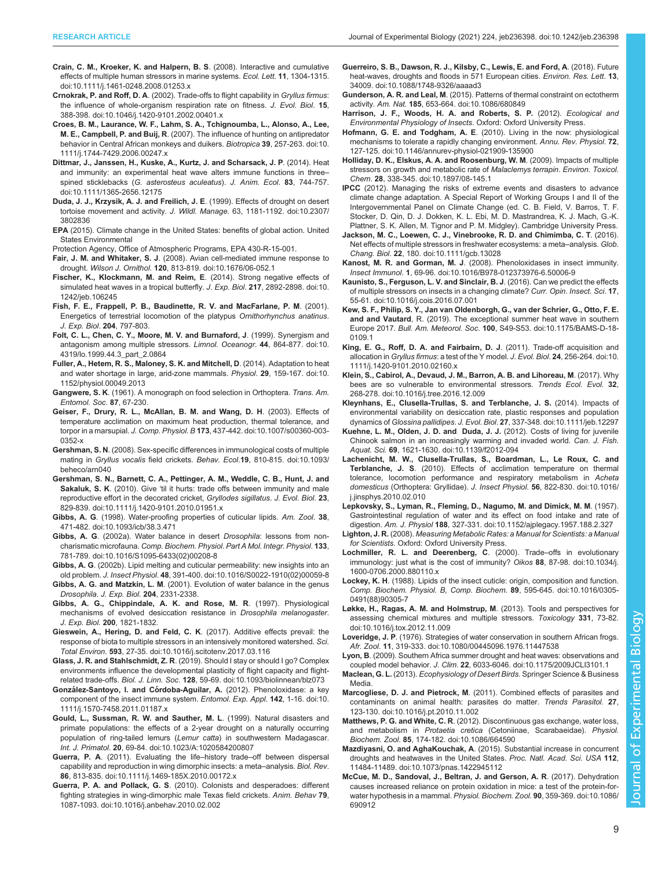- <span id="page-8-0"></span>[Crain, C. M., Kroeker, K. and Halpern, B. S](https://doi.org/10.1111/j.1461-0248.2008.01253.x). (2008). Interactive and cumulative [effects of multiple human stressors in marine systems.](https://doi.org/10.1111/j.1461-0248.2008.01253.x) Ecol. Lett. 11, 1304-1315. [doi:10.1111/j.1461-0248.2008.01253.x](https://doi.org/10.1111/j.1461-0248.2008.01253.x)
- Crnokrak, P. and Roff, D. A[. \(2002\). Trade-offs to flight capability in](https://doi.org/10.1046/j.1420-9101.2002.00401.x) Gryllus firmus: [the influence of whole-organism respiration rate on fitness.](https://doi.org/10.1046/j.1420-9101.2002.00401.x) J. Evol. Biol. 15, [388-398. doi:10.1046/j.1420-9101.2002.00401.x](https://doi.org/10.1046/j.1420-9101.2002.00401.x)
- [Croes, B. M., Laurance, W. F., Lahm, S. A., Tchignoumba, L., Alonso, A., Lee,](https://doi.org/10.1111/j.1744-7429.2006.00247.x) M. E., Campbell, P. and Buij, R[. \(2007\). The influence of hunting on antipredator](https://doi.org/10.1111/j.1744-7429.2006.00247.x) [behavior in Central African monkeys and duikers.](https://doi.org/10.1111/j.1744-7429.2006.00247.x) Biotropica 39, 257-263. doi:10. [1111/j.1744-7429.2006.00247.x](https://doi.org/10.1111/j.1744-7429.2006.00247.x)
- [Dittmar, J., Janssen, H., Kuske, A., Kurtz, J. and Scharsack, J. P](https://doi.org/10.1111/1365-2656.12175). (2014). Heat [and immunity: an experimental heat wave alters immune functions in three](https://doi.org/10.1111/1365-2656.12175)– spined sticklebacks ([G. asterosteus aculeatus](https://doi.org/10.1111/1365-2656.12175)). J. Anim. Ecol. 83, 744-757. [doi:10.1111/1365-2656.12175](https://doi.org/10.1111/1365-2656.12175)
- [Duda, J. J., Krzysik, A. J. and Freilich, J. E](https://doi.org/10.2307/3802836). (1999). Effects of drought on desert [tortoise movement and activity.](https://doi.org/10.2307/3802836) J. Wildl. Manage. 63, 1181-1192. doi:10.2307/ [3802836](https://doi.org/10.2307/3802836)
- EPA (2015). Climate change in the United States: benefits of global action. United States Environmental
- Protection Agency, Office of Atmospheric Programs, EPA 430-R-15-001.
- Fair, J. M. and Whitaker, S. J[. \(2008\). Avian cell-mediated immune response to](https://doi.org/10.1676/06-052.1) drought. Wilson J. Ornithol. 120[, 813-819. doi:10.1676/06-052.1](https://doi.org/10.1676/06-052.1)
- [Fischer, K., Klockmann, M. and Reim, E](https://doi.org/10.1242/jeb.106245). (2014). Strong negative effects of [simulated heat waves in a tropical butterfly.](https://doi.org/10.1242/jeb.106245) J. Exp. Biol. 217, 2892-2898. doi:10. [1242/jeb.106245](https://doi.org/10.1242/jeb.106245)
- Fish, F. E., Frappell, P. B., Baudinette, R. V. and MacFarlane, P. M. (2001). Energetics of terrestrial locomotion of the platypus Ornithorhynchus anatinus. J. Exp. Biol. 204, 797-803.
- [Folt, C. L., Chen, C. Y., Moore, M. V. and Burnaford, J](https://doi.org/10.4319/lo.1999.44.3_part_2.0864). (1999). Synergism and [antagonism among multiple stressors.](https://doi.org/10.4319/lo.1999.44.3_part_2.0864) Limnol. Oceanogr. 44, 864-877. doi:10. [4319/lo.1999.44.3\\_part\\_2.0864](https://doi.org/10.4319/lo.1999.44.3_part_2.0864)
- [Fuller, A., Hetem, R. S., Maloney, S. K. and Mitchell, D](https://doi.org/10.1152/physiol.00049.2013). (2014). Adaptation to heat [and water shortage in large, arid-zone mammals.](https://doi.org/10.1152/physiol.00049.2013) Physiol. 29, 159-167. doi:10. [1152/physiol.00049.2013](https://doi.org/10.1152/physiol.00049.2013)
- Gangwere, S. K. (1961). A monograph on food selection in Orthoptera. Trans. Am. Entomol. Soc. 87, 67-230.
- [Geiser, F., Drury, R. L., McAllan, B. M. and Wang, D. H](https://doi.org/10.1007/s00360-003-0352-x). (2003). Effects of [temperature acclimation on maximum heat production, thermal tolerance, and](https://doi.org/10.1007/s00360-003-0352-x) torpor in a marsupial. J. Comp. Physiol. B 173[, 437-442. doi:10.1007/s00360-003-](https://doi.org/10.1007/s00360-003-0352-x) [0352-x](https://doi.org/10.1007/s00360-003-0352-x)
- Gershman, S. N[. \(2008\). Sex-specific differences in immunological costs of multiple](https://doi.org/10.1093/beheco/arn040) mating in Gryllus vocalis field crickets. Behav. Ecol.19[, 810-815. doi:10.1093/](https://doi.org/10.1093/beheco/arn040) [beheco/arn040](https://doi.org/10.1093/beheco/arn040)
- [Gershman, S. N., Barnett, C. A., Pettinger, A. M., Weddle, C. B., Hunt, J. and](https://doi.org/10.1111/j.1420-9101.2010.01951.x) Sakaluk, S. K. (2010). Give '[til it hurts: trade offs between immunity and male](https://doi.org/10.1111/j.1420-9101.2010.01951.x) [reproductive effort in the decorated cricket,](https://doi.org/10.1111/j.1420-9101.2010.01951.x) Gryllodes sigillatus. J. Evol. Biol. 23, [829-839. doi:10.1111/j.1420-9101.2010.01951.x](https://doi.org/10.1111/j.1420-9101.2010.01951.x)
- Gibbs, A. G[. \(1998\). Water-proofing properties of cuticular lipids.](https://doi.org/10.1093/icb/38.3.471) Am. Zool. 38, [471-482. doi:10.1093/icb/38.3.471](https://doi.org/10.1093/icb/38.3.471)
- Gibbs, A. G[. \(2002a\). Water balance in desert](https://doi.org/10.1016/S1095-6433(02)00208-8) *Drosophila*: lessons from noncharismatic microfauna. [Comp. Biochem. Physiol. Part A Mol. Integr. Physiol](https://doi.org/10.1016/S1095-6433(02)00208-8). 133, [781-789. doi:10.1016/S1095-6433\(02\)00208-8](https://doi.org/10.1016/S1095-6433(02)00208-8)
- Gibbs, A. G[. \(2002b\). Lipid melting and cuticular permeability: new insights into an](https://doi.org/10.1016/S0022-1910(02)00059-8) old problem. J. Insect Physiol. 48[, 391-400. doi:10.1016/S0022-1910\(02\)00059-8](https://doi.org/10.1016/S0022-1910(02)00059-8)
- Gibbs, A. G. and Matzkin, L. M. (2001). Evolution of water balance in the genus Drosophila. J. Exp. Biol. 204, 2331-2338.
- Gibbs, A. G., Chippindale, A. K. and Rose, M. R. (1997). Physiological mechanisms of evolved desiccation resistance in Drosophila melanogaster. J. Exp. Biol. 200, 1821-1832.
- [Gieswein, A., Hering, D. and Feld, C. K](https://doi.org/10.1016/j.scitotenv.2017.03.116). (2017). Additive effects prevail: the [response of biota to multiple stressors in an intensively monitored watershed.](https://doi.org/10.1016/j.scitotenv.2017.03.116) Sci. Total Environ. 593[, 27-35. doi:10.1016/j.scitotenv.2017.03.116](https://doi.org/10.1016/j.scitotenv.2017.03.116)
- Glass, J. R. and Stahlschmidt, Z. R[. \(2019\). Should I stay or should I go? Complex](https://doi.org/10.1093/biolinnean/blz073) [environments influence the developmental plasticity of flight capacity and flight](https://doi.org/10.1093/biolinnean/blz073)related trade-offs. Biol. J. Linn. Soc. 128[, 59-69. doi:10.1093/biolinnean/blz073](https://doi.org/10.1093/biolinnean/blz073)
- González-Santoyo, I. and Córdoba-Aguilar, A. [\(2012\). Phenoloxidase: a key](https://doi.org/10.1111/j.1570-7458.2011.01187.x) [component of the insect immune system.](https://doi.org/10.1111/j.1570-7458.2011.01187.x) Entomol. Exp. Appl. 142, 1-16. doi:10. [1111/j.1570-7458.2011.01187.x](https://doi.org/10.1111/j.1570-7458.2011.01187.x)
- [Gould, L., Sussman, R. W. and Sauther, M. L](https://doi.org/10.1023/A:1020584200807). (1999). Natural disasters and [primate populations: the effects of a 2-year drought on a naturally occurring](https://doi.org/10.1023/A:1020584200807) [population of ring-tailed lemurs \(](https://doi.org/10.1023/A:1020584200807)Lemur catta) in southwestern Madagascar. Int. J. Primatol. 20[, 69-84. doi:10.1023/A:1020584200807](https://doi.org/10.1023/A:1020584200807)
- Guerra, P. A[. \(2011\). Evaluating the life](https://doi.org/10.1111/j.1469-185X.2010.00172.x)–history trade–off between dispersal [capability and reproduction in wing dimorphic insects: a meta](https://doi.org/10.1111/j.1469-185X.2010.00172.x)–analysis. Biol. Rev. 86[, 813-835. doi:10.1111/j.1469-185X.2010.00172.x](https://doi.org/10.1111/j.1469-185X.2010.00172.x)
- Guerra, P. A. and Pollack, G. S[. \(2010\). Colonists and desperadoes: different](https://doi.org/10.1016/j.anbehav.2010.02.002) [fighting strategies in wing-dimorphic male Texas field crickets.](https://doi.org/10.1016/j.anbehav.2010.02.002) Anim. Behav 79, [1087-1093. doi:10.1016/j.anbehav.2010.02.002](https://doi.org/10.1016/j.anbehav.2010.02.002)
- [Guerreiro, S. B., Dawson, R. J., Kilsby, C., Lewis, E. and Ford, A](https://doi.org/10.1088/1748-9326/aaaad3). (2018). Future [heat-waves, droughts and floods in 571 European cities.](https://doi.org/10.1088/1748-9326/aaaad3) Environ. Res. Lett. 13, [34009. doi:10.1088/1748-9326/aaaad3](https://doi.org/10.1088/1748-9326/aaaad3)
- Gunderson, A. R. and Leal, M[. \(2015\). Patterns of thermal constraint on ectotherm](https://doi.org/10.1086/680849) activity. Am. Nat. 185[, 653-664. doi:10.1086/680849](https://doi.org/10.1086/680849)
- Harrison, J. F., Woods, H. A. and Roberts, S. P. (2012). Ecological and Environmental Physiology of Insects. Oxford: Oxford University Press.
- Hofmann, G. E. and Todgham, A. E[. \(2010\). Living in the now: physiological](https://doi.org/10.1146/annurev-physiol-021909-135900) [mechanisms to tolerate a rapidly changing environment.](https://doi.org/10.1146/annurev-physiol-021909-135900) Annu. Rev. Physiol. 72, [127-125. doi:10.1146/annurev-physiol-021909-135900](https://doi.org/10.1146/annurev-physiol-021909-135900)
- [Holliday, D. K., Elskus, A. A. and Roosenburg, W. M](https://doi.org/10.1897/08-145.1). (2009). Impacts of multiple [stressors on growth and metabolic rate of](https://doi.org/10.1897/08-145.1) Malaclemys terrapin. Environ. Toxicol. Chem. 28[, 338-345. doi:10.1897/08-145.1](https://doi.org/10.1897/08-145.1)
- IPCC (2012). Managing the risks of extreme events and disasters to advance climate change adaptation. A Special Report of Working Groups I and II of the Intergovernmental Panel on Climate Change (ed. C. B. Field, V. Barros, T. F. Stocker, D. Qin, D. J. Dokken, K. L. Ebi, M. D. Mastrandrea, K. J. Mach, G.-K. Plattner, S. K. Allen, M. Tignor and P. M. Midgley). Cambridge University Press.
- [Jackson, M. C., Loewen, C. J., Vinebrooke, R. D. and Chimimba, C. T](https://doi.org/10.1111/gcb.13028). (2016). [Net effects of multiple stressors in freshwater ecosystems: a meta](https://doi.org/10.1111/gcb.13028)–analysis. Glob. Chang. Biol. 22[, 180. doi:10.1111/gcb.13028](https://doi.org/10.1111/gcb.13028)
- Kanost, M. R. and Gorman, M. J[. \(2008\). Phenoloxidases in insect immunity.](https://doi.org/10.1016/B978-012373976-6.50006-9) Insect Immunol. 1[, 69-96. doi:10.1016/B978-012373976-6.50006-9](https://doi.org/10.1016/B978-012373976-6.50006-9)
- [Kaunisto, S., Ferguson, L. V. and Sinclair, B. J](https://doi.org/10.1016/j.cois.2016.07.001). (2016). Can we predict the effects [of multiple stressors on insects in a changing climate?](https://doi.org/10.1016/j.cois.2016.07.001) Curr. Opin. Insect. Sci. 17, [55-61. doi:10.1016/j.cois.2016.07.001](https://doi.org/10.1016/j.cois.2016.07.001)
- [Kew, S. F., Philip, S. Y., Jan van Oldenborgh, G., van der Schrier, G., Otto, F. E.](https://doi.org/10.1175/BAMS-D-18-0109.1) and and Vautard[, R. \(2019\). The exceptional summer heat wave in southern](https://doi.org/10.1175/BAMS-D-18-0109.1) Europe 2017. Bull. Am. Meteorol. Soc. 100[, S49-S53. doi:10.1175/BAMS-D-18-](https://doi.org/10.1175/BAMS-D-18-0109.1) [0109.1](https://doi.org/10.1175/BAMS-D-18-0109.1)
- [King, E. G., Roff, D. A. and Fairbairn, D. J](https://doi.org/10.1111/j.1420-9101.2010.02160.x). (2011). Trade-off acquisition and allocation in Gryllus firmus[: a test of the Y model.](https://doi.org/10.1111/j.1420-9101.2010.02160.x) J. Evol. Biol. 24, 256-264. doi:10. [1111/j.1420-9101.2010.02160.x](https://doi.org/10.1111/j.1420-9101.2010.02160.x)
- [Klein, S., Cabirol, A., Devaud, J. M., Barron, A. B. and Lihoreau, M](https://doi.org/10.1016/j.tree.2016.12.009). (2017). Why [bees are so vulnerable to environmental stressors.](https://doi.org/10.1016/j.tree.2016.12.009) Trends Ecol. Evol. 32, [268-278. doi:10.1016/j.tree.2016.12.009](https://doi.org/10.1016/j.tree.2016.12.009)
- [Kleynhans, E., Clusella-Trullas, S. and Terblanche, J. S.](https://doi.org/10.1111/jeb.12297) (2014). Impacts of [environmental variability on desiccation rate, plastic responses and population](https://doi.org/10.1111/jeb.12297) dynamics of Glossina pallidipes. J. Evol. Biol. 27[, 337-348. doi:10.1111/jeb.12297](https://doi.org/10.1111/jeb.12297)
- [Kuehne, L. M., Olden, J. D. and Duda, J. J.](http://dx.doi.org/10.1139/f2012-094) (2012). Costs of living for juvenile [Chinook salmon in an increasingly warming and invaded world.](http://dx.doi.org/10.1139/f2012-094) Can. J. Fish. Aquat. Sci. 69[, 1621-1630. doi:10.1139/f2012-094](http://dx.doi.org/10.1139/f2012-094)
- [Lachenicht, M. W., Clusella-Trullas, S., Boardman, L., Le Roux, C. and](https://doi.org/10.1016/j.jinsphys.2010.02.010) Terblanche, J. S[. \(2010\). Effects of acclimation temperature on thermal](https://doi.org/10.1016/j.jinsphys.2010.02.010) [tolerance, locomotion performance and respiratory metabolism in](https://doi.org/10.1016/j.jinsphys.2010.02.010) Acheta domesticus (Orthoptera: Gryllidae). J. Insect Physiol. 56[, 822-830. doi:10.1016/](https://doi.org/10.1016/j.jinsphys.2010.02.010) [j.jinsphys.2010.02.010](https://doi.org/10.1016/j.jinsphys.2010.02.010)
- [Lepkovsky, S., Lyman, R., Fleming, D., Nagumo, M. and Dimick, M. M](https://doi.org/10.1152/ajplegacy.1957.188.2.327). (1957). [Gastrointestinal regulation of water and its effect on food intake and rate of](https://doi.org/10.1152/ajplegacy.1957.188.2.327) digestion. Am. J. Physiol 188[, 327-331. doi:10.1152/ajplegacy.1957.188.2.327](https://doi.org/10.1152/ajplegacy.1957.188.2.327)
- Lighton, J. R. (2008). Measuring Metabolic Rates: a Manual for Scientists: a Manual for Scientists. Oxford: Oxford University Press.
- [Lochmiller, R. L. and Deerenberg, C](https://doi.org/10.1034/j.1600-0706.2000.880110.x). (2000). Trade–offs in evolutionary [immunology: just what is the cost of immunity?](https://doi.org/10.1034/j.1600-0706.2000.880110.x) Oikos 88, 87-98. doi:10.1034/j. [1600-0706.2000.880110.x](https://doi.org/10.1034/j.1600-0706.2000.880110.x)
- Lockey, K. H[. \(1988\). Lipids of the insect cuticle: origin, composition and function.](https://doi.org/10.1016/0305-0491(88)90305-7) [Comp. Biochem. Physiol. B, Comp. Biochem](https://doi.org/10.1016/0305-0491(88)90305-7). 89, 595-645. doi:10.1016/0305- [0491\(88\)90305-7](https://doi.org/10.1016/0305-0491(88)90305-7)
- [Løkke, H., Ragas, A. M. and Holmstrup, M](https://doi.org/10.1016/j.tox.2012.11.009). (2013). Tools and perspectives for [assessing chemical mixtures and multiple stressors.](https://doi.org/10.1016/j.tox.2012.11.009) Toxicology 331, 73-82. [doi:10.1016/j.tox.2012.11.009](https://doi.org/10.1016/j.tox.2012.11.009)
- Loveridge, J. P[. \(1976\). Strategies of water conservation in southern African frogs.](https://doi.org/10.1080/00445096.1976.11447538) Afr. Zool. 11[, 319-333. doi:10.1080/00445096.1976.11447538](https://doi.org/10.1080/00445096.1976.11447538)
- Lyon, B[. \(2009\). Southern Africa summer drought and heat waves: observations and](https://doi.org/10.1175/2009JCLI3101.1) coupled model behavior. J. Clim. 22[, 6033-6046. doi:10.1175/2009JCLI3101.1](https://doi.org/10.1175/2009JCLI3101.1)
- Maclean, G. L. (2013). Ecophysiology of Desert Birds. Springer Science & Business Media.
- Marcogliese, D. J. and Pietrock, M[. \(2011\). Combined effects of parasites and](https://doi.org/10.1016/j.pt.2010.11.002) [contaminants on animal health: parasites do matter.](https://doi.org/10.1016/j.pt.2010.11.002) Trends Parasitol. 27, [123-130. doi:10.1016/j.pt.2010.11.002](https://doi.org/10.1016/j.pt.2010.11.002)
- Matthews, P. G. and White, C. R[. \(2012\). Discontinuous gas exchange, water loss,](https://doi.org/10.1086/664590) and metabolism in Protaetia cretica [\(Cetoniinae, Scarabaeidae\).](https://doi.org/10.1086/664590) Physiol. Biochem. Zool. 85[, 174-182. doi:10.1086/664590](https://doi.org/10.1086/664590)
- Mazdiyasni, O. and AghaKouchak, A[. \(2015\). Substantial increase in concurrent](https://doi.org/10.1073/pnas.1422945112) [droughts and heatwaves in the United States.](https://doi.org/10.1073/pnas.1422945112) Proc. Natl. Acad. Sci. USA 112, [11484-11489. doi:10.1073/pnas.1422945112](https://doi.org/10.1073/pnas.1422945112)
- [McCue, M. D., Sandoval, J., Beltran, J. and Gerson, A. R](https://doi.org/10.1086/690912). (2017). Dehydration [causes increased reliance on protein oxidation in mice: a test of the protein-for](https://doi.org/10.1086/690912)[water hypothesis in a mammal.](https://doi.org/10.1086/690912) Physiol. Biochem. Zool. 90, 359-369. doi:10.1086/ [690912](https://doi.org/10.1086/690912)

Biology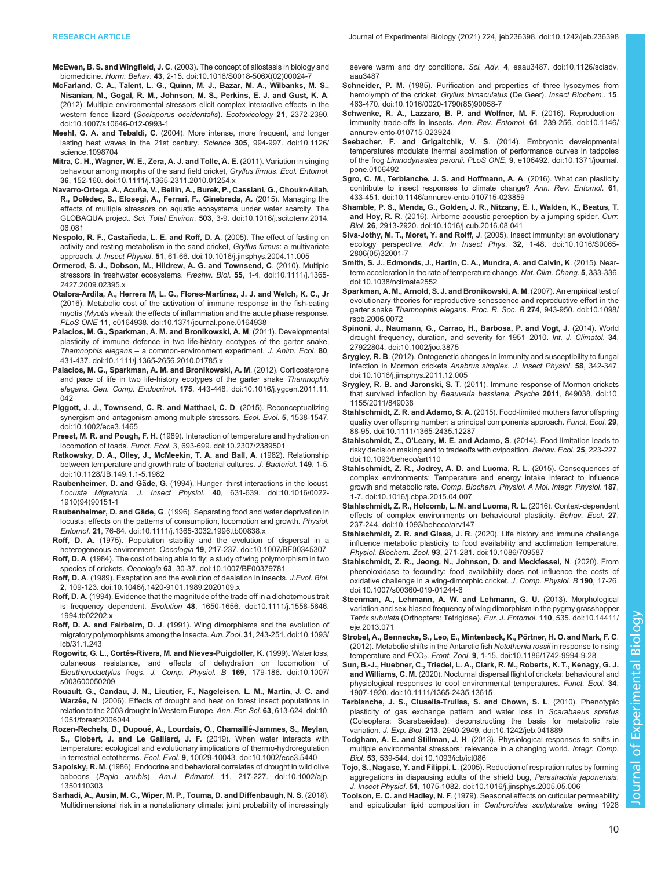<span id="page-9-0"></span>McEwen, B. S. and Wingfield, J. C[. \(2003\). The concept of allostasis in biology and](https://doi.org/10.1016/S0018-506X(02)00024-7) biomedicine. Horm. Behav. 43[, 2-15. doi:10.1016/S0018-506X\(02\)00024-7](https://doi.org/10.1016/S0018-506X(02)00024-7)

[McFarland, C. A., Talent, L. G., Quinn, M. J., Bazar, M. A., Wilbanks, M. S.,](https://doi.org/10.1007/s10646-012-0993-1) [Nisanian, M., Gogal, R. M., Johnson, M. S., Perkins, E. J. and Gust, K. A](https://doi.org/10.1007/s10646-012-0993-1). [\(2012\). Multiple environmental stressors elicit complex interactive effects in the](https://doi.org/10.1007/s10646-012-0993-1) western fence lizard ([Sceloporus occidentalis](https://doi.org/10.1007/s10646-012-0993-1)). Ecotoxicology 21, 2372-2390. [doi:10.1007/s10646-012-0993-1](https://doi.org/10.1007/s10646-012-0993-1)

Meehl, G. A. and Tebaldi, C[. \(2004\). More intense, more frequent, and longer](https://doi.org/10.1126/science.1098704) [lasting heat waves in the 21st century.](https://doi.org/10.1126/science.1098704) Science 305, 994-997. doi:10.1126/ [science.1098704](https://doi.org/10.1126/science.1098704)

- [Mitra, C. H., Wagner, W. E., Zera, A. J. and Tolle, A. E](https://doi.org/10.1111/j.1365-2311.2010.01254.x). (2011). Variation in singing [behaviour among morphs of the sand field cricket,](https://doi.org/10.1111/j.1365-2311.2010.01254.x) Gryllus firmus. Ecol. Entomol. 36[, 152-160. doi:10.1111/j.1365-2311.2010.01254.x](https://doi.org/10.1111/j.1365-2311.2010.01254.x)
- Navarro-Ortega, A., Acuñ[a, V., Bellin, A., Burek, P., Cassiani, G., Choukr-Allah,](https://doi.org/10.1016/j.scitotenv.2014.06.081) R., Dolé[dec, S., Elosegi, A., Ferrari, F., Ginebreda, A.](https://doi.org/10.1016/j.scitotenv.2014.06.081) (2015). Managing the [effects of multiple stressors on aquatic ecosystems under water scarcity. The](https://doi.org/10.1016/j.scitotenv.2014.06.081) GLOBAQUA project. Sci. Total Environ. 503[, 3-9. doi:10.1016/j.scitotenv.2014.](https://doi.org/10.1016/j.scitotenv.2014.06.081) [06.081](https://doi.org/10.1016/j.scitotenv.2014.06.081)
- Nespolo, R. F., Castañeda, L. E. and Roff, D. A[. \(2005\). The effect of fasting on](https://doi.org/10.1016/j.jinsphys.2004.11.005) activity and resting metabolism in the sand cricket. Gryllus firmus: a multivariate approach. J. Insect Physiol. 51[, 61-66. doi:10.1016/j.jinsphys.2004.11.005](https://doi.org/10.1016/j.jinsphys.2004.11.005)
- [Ormerod, S. J., Dobson, M., Hildrew, A. G. and Townsend, C](https://doi.org/10.1111/j.1365-2427.2009.02395.x). (2010). Multiple [stressors in freshwater ecosystems.](https://doi.org/10.1111/j.1365-2427.2009.02395.x) Freshw. Biol. 55, 1-4. doi:10.1111/j.1365- [2427.2009.02395.x](https://doi.org/10.1111/j.1365-2427.2009.02395.x)
- [Otalora-Ardila, A., Herrera M, L. G., Flores-Mart](https://doi.org/10.1371/journal.pone.0164938)ínez, J. J. and Welch, K. C., Jr [\(2016\). Metabolic cost of the activation of immune response in the fish-eating](https://doi.org/10.1371/journal.pone.0164938) myotis (Myotis vivesi[\): the effects of inflammation and the acute phase response.](https://doi.org/10.1371/journal.pone.0164938) PLoS ONE 11[, e0164938. doi:10.1371/journal.pone.0164938](https://doi.org/10.1371/journal.pone.0164938)
- [Palacios, M. G., Sparkman, A. M. and Bronikowski, A. M](https://doi.org/10.1111/j.1365-2656.2010.01785.x). (2011). Developmental [plasticity of immune defence in two life-history ecotypes of the garter snake,](https://doi.org/10.1111/j.1365-2656.2010.01785.x) Thamnophis elegans – [a common-environment experiment.](https://doi.org/10.1111/j.1365-2656.2010.01785.x) J. Anim. Ecol. 80, [431-437. doi:10.1111/j.1365-2656.2010.01785.x](https://doi.org/10.1111/j.1365-2656.2010.01785.x)
- [Palacios, M. G., Sparkman, A. M. and Bronikowski, A. M](https://doi.org/10.1016/j.ygcen.2011.11.042). (2012). Corticosterone [and pace of life in two life-history ecotypes of the garter snake](https://doi.org/10.1016/j.ygcen.2011.11.042) Thamnophis elegans. Gen. Comp. Endocrinol. 175[, 443-448. doi:10.1016/j.ygcen.2011.11.](https://doi.org/10.1016/j.ygcen.2011.11.042) [042](https://doi.org/10.1016/j.ygcen.2011.11.042)
- [Piggott, J. J., Townsend, C. R. and Matthaei, C. D](https://doi.org/10.1002/ece3.1465). (2015). Reconceptualizing [synergism and antagonism among multiple stressors.](https://doi.org/10.1002/ece3.1465) Ecol. Evol. 5, 1538-1547. [doi:10.1002/ece3.1465](https://doi.org/10.1002/ece3.1465)
- Preest, M. R. and Pough, F. H[. \(1989\). Interaction of temperature and hydration on](https://doi.org/10.2307/2389501) locomotion of toads. Funct. Ecol[. 3, 693-699. doi:10.2307/2389501](https://doi.org/10.2307/2389501)
- [Ratkowsky, D. A., Olley, J., McMeekin, T. A. and Ball, A](https://doi.org/10.1128/JB.149.1.1-5.1982). (1982). Relationship [between temperature and growth rate of bacterial cultures.](https://doi.org/10.1128/JB.149.1.1-5.1982) J. Bacteriol. 149, 1-5. [doi:10.1128/JB.149.1.1-5.1982](https://doi.org/10.1128/JB.149.1.1-5.1982)
- Raubenheimer, D. and Gäde, G. (1994). Hunger-[thirst interactions in the locust,](https://doi.org/10.1016/0022-1910(94)90151-1) Locusta Migratoria. J. Insect Physiol. 40[, 631-639. doi:10.1016/0022-](https://doi.org/10.1016/0022-1910(94)90151-1) [1910\(94\)90151-1](https://doi.org/10.1016/0022-1910(94)90151-1)
- Raubenheimer, D. and Gäde, G[. \(1996\). Separating food and water deprivation in](https://doi.org/10.1111/j.1365-3032.1996.tb00838.x) [locusts: effects on the patterns of consumption, locomotion and growth.](https://doi.org/10.1111/j.1365-3032.1996.tb00838.x) Physiol. Entomol. 21[, 76-84. doi:10.1111/j.1365-3032.1996.tb00838.x](https://doi.org/10.1111/j.1365-3032.1996.tb00838.x)
- Roff, D. A[. \(1975\). Population stability and the evolution of dispersal in a](https://doi.org/10.1007/BF00345307) heterogeneous environment. Oecologia 19[, 217-237. doi:10.1007/BF00345307](https://doi.org/10.1007/BF00345307)
- Roff, D. A[. \(1984\). The cost of being able to fly: a study of wing polymorphism in two](https://doi.org/10.1007/BF00379781) species of crickets. Oecologia 63[, 30-37. doi:10.1007/BF00379781](https://doi.org/10.1007/BF00379781)
- Roff, D. A[. \(1989\). Exaptation and the evolution of dealation in insects.](https://doi.org/10.1046/j.1420-9101.1989.2020109.x) J.Evol. Biol. 2[, 109-123. doi:10.1046/j.1420-9101.1989.2020109.x](https://doi.org/10.1046/j.1420-9101.1989.2020109.x)
- Roff, D. A[. \(1994\). Evidence that the magnitude of the trade off in a dichotomous trait](https://doi.org/10.1111/j.1558-5646.1994.tb02202.x) is frequency dependent. Evolution 48[, 1650-1656. doi:10.1111/j.1558-5646.](https://doi.org/10.1111/j.1558-5646.1994.tb02202.x) [1994.tb02202.x](https://doi.org/10.1111/j.1558-5646.1994.tb02202.x)
- Roff, D. A. and Fairbairn, D. J[. \(1991\). Wing dimorphisms and the evolution of](https://doi.org/10.1093/icb/31.1.243) [migratory polymorphisms among the Insecta.](https://doi.org/10.1093/icb/31.1.243) Am. Zool. 31, 243-251. doi:10.1093/ ich/31.1.243
- Rogowitz, G. L., Corté[s-Rivera, M. and Nieves-Puigdoller, K](https://doi.org/10.1007/s003600050209). (1999). Water loss, [cutaneous resistance, and effects of dehydration on locomotion of](https://doi.org/10.1007/s003600050209) Eleutherodactylus frogs. J. Comp. Physiol. B 169[, 179-186. doi:10.1007/](https://doi.org/10.1007/s003600050209) [s003600050209](https://doi.org/10.1007/s003600050209)
- [Rouault, G., Candau, J. N., Lieutier, F., Nageleisen, L. M., Martin, J. C. and](https://doi.org/10.1051/forest:2006044) Warzée, N[. \(2006\). Effects of drought and heat on forest insect populations in](https://doi.org/10.1051/forest:2006044) [relation to the 2003 drought in Western Europe.](https://doi.org/10.1051/forest:2006044) Ann. For. Sci. 63, 613-624. doi:10. [1051/forest:2006044](https://doi.org/10.1051/forest:2006044)
- Rozen-Rechels, D., Dupoué, A., Lourdais, O., Chamaillé-Jammes, S., Meylan, [S., Clobert, J. and Le Galliard, J. F.](https://doi.org/10.1002/ece3.5440) (2019). When water interacts with [temperature: ecological and evolutionary implications of thermo-hydroregulation](https://doi.org/10.1002/ece3.5440) in terrestrial ectotherms. Ecol. Evol. 9[, 10029-10043. doi:10.1002/ece3.5440](https://doi.org/10.1002/ece3.5440)
- Sapolsky, R. M[. \(1986\). Endocrine and behavioral correlates of drought in wild olive](https://doi.org/10.1002/ajp.1350110303) baboons (Papio anubis). Am.J. Primatol. 11[, 217-227. doi:10.1002/ajp.](https://doi.org/10.1002/ajp.1350110303) [1350110303](https://doi.org/10.1002/ajp.1350110303)
- [Sarhadi, A., Ausin, M. C., Wiper, M. P., Touma, D. and Diffenbaugh, N. S](https://doi.org/10.1126/sciadv.aau3487). (2018). [Multidimensional risk in a nonstationary climate: joint probability of increasingly](https://doi.org/10.1126/sciadv.aau3487)

[severe warm and dry conditions.](https://doi.org/10.1126/sciadv.aau3487) Sci. Adv. 4, eaau3487. doi:10.1126/sciadv. [aau3487](https://doi.org/10.1126/sciadv.aau3487)

- Schneider, P. M[. \(1985\). Purification and properties of three lysozymes from](https://doi.org/10.1016/0020-1790(85)90058-7) [hemolymph of the cricket,](https://doi.org/10.1016/0020-1790(85)90058-7) Gryllus bimaculatus (De Geer). Insect Biochem.. 15, [463-470. doi:10.1016/0020-1790\(85\)90058-7](https://doi.org/10.1016/0020-1790(85)90058-7)
- [Schwenke, R. A., Lazzaro, B. P. and Wolfner, M. F](https://doi.org/10.1146/annurev-ento-010715-023924). (2016). Reproduction[immunity trade-offs in insects.](https://doi.org/10.1146/annurev-ento-010715-023924) Ann. Rev. Entomol. 61, 239-256. doi:10.1146/ [annurev-ento-010715-023924](https://doi.org/10.1146/annurev-ento-010715-023924)
- [Seebacher, F. and Grigaltchik, V. S](https://doi.org/10.1371/journal.pone.0106492). (2014). Embryonic developmental [temperatures modulate thermal acclimation of performance curves in tadpoles](https://doi.org/10.1371/journal.pone.0106492) of the frog Limnodynastes peronii. PLoS ONE, 9[, e106492. doi:10.1371/journal.](https://doi.org/10.1371/journal.pone.0106492) [pone.0106492](https://doi.org/10.1371/journal.pone.0106492)
- [Sgro, C. M., Terblanche, J. S. and Hoffmann, A. A](https://doi.org/10.1146/annurev-ento-010715-023859). (2016). What can plasticity [contribute to insect responses to climate change?](https://doi.org/10.1146/annurev-ento-010715-023859) Ann. Rev. Entomol. 61, [433-451. doi:10.1146/annurev-ento-010715-023859](https://doi.org/10.1146/annurev-ento-010715-023859)
- [Shamble, P. S., Menda, G., Golden, J. R., Nitzany, E. I., Walden, K., Beatus, T.](https://doi.org/10.1016/j.cub.2016.08.041) and Hoy, R. R[. \(2016\). Airborne acoustic perception by a jumping spider.](https://doi.org/10.1016/j.cub.2016.08.041) Curr. Biol. 26[, 2913-2920. doi:10.1016/j.cub.2016.08.041](https://doi.org/10.1016/j.cub.2016.08.041)
- Siva-Jothy, M. T., Moret, Y. and Rolff, J[. \(2005\). Insect immunity: an evolutionary](https://doi.org/10.1016/S0065-2806(05)32001-7) ecology perspective. Adv. In Insect Phys. 32[, 1-48. doi:10.1016/S0065-](https://doi.org/10.1016/S0065-2806(05)32001-7) [2806\(05\)32001-7](https://doi.org/10.1016/S0065-2806(05)32001-7)
- [Smith, S. J., Edmonds, J., Hartin, C. A., Mundra, A. and Calvin, K](https://doi.org/10.1038/nclimate2552). (2015). Near[term acceleration in the rate of temperature change.](https://doi.org/10.1038/nclimate2552) Nat. Clim. Chang. 5, 333-336. [doi:10.1038/nclimate2552](https://doi.org/10.1038/nclimate2552)
- [Sparkman, A. M., Arnold, S. J. and Bronikowski, A. M](https://doi.org/10.1098/rspb.2006.0072). (2007). An empirical test of [evolutionary theories for reproductive senescence and reproductive effort in the](https://doi.org/10.1098/rspb.2006.0072) garter snake Thamnophis elegans. Proc. R. Soc. B 274[, 943-950. doi:10.1098/](https://doi.org/10.1098/rspb.2006.0072) [rspb.2006.0072](https://doi.org/10.1098/rspb.2006.0072)
- [Spinoni, J., Naumann, G., Carrao, H., Barbosa, P. and Vogt, J](https://doi.org/10.1002/joc.3875). (2014). World [drought frequency, duration, and severity for 1951](https://doi.org/10.1002/joc.3875)–2010. Int. J. Climatol. 34, [27922804. doi:10.1002/joc.3875](https://doi.org/10.1002/joc.3875)
- Srygley, R. B[. \(2012\). Ontogenetic changes in immunity and susceptibility to fungal](https://doi.org/10.1016/j.jinsphys.2011.12.005) [infection in Mormon crickets](https://doi.org/10.1016/j.jinsphys.2011.12.005) Anabrus simplex. J. Insect Physiol. 58, 342-347. [doi:10.1016/j.jinsphys.2011.12.005](https://doi.org/10.1016/j.jinsphys.2011.12.005)
- Srygley, R. B. and Jaronski, S. T[. \(2011\). Immune response of Mormon crickets](https://doi.org/10.1155/2011/849038) [that survived infection by](https://doi.org/10.1155/2011/849038) Beauveria bassiana. Psyche 2011, 849038. doi:10. [1155/2011/849038](https://doi.org/10.1155/2011/849038)
- Stahlschmidt, Z. R. and Adamo, S. A[. \(2015\). Food-limited mothers favor offspring](https://doi.org/10.1111/1365-2435.12287) [quality over offspring number: a principal components approach.](https://doi.org/10.1111/1365-2435.12287) Funct. Ecol. 29, [88-95. doi:10.1111/1365-2435.12287](https://doi.org/10.1111/1365-2435.12287)
- Stahlschmidt, Z., O'Leary, M. E. and Adamo, S[. \(2014\). Food limitation leads to](https://doi.org/10.1093/beheco/art110) [risky decision making and to tradeoffs with oviposition.](https://doi.org/10.1093/beheco/art110) Behav. Ecol. 25, 223-227. [doi:10.1093/beheco/art110](https://doi.org/10.1093/beheco/art110)
- [Stahlschmidt, Z. R., Jodrey, A. D. and Luoma, R. L](https://doi.org/10.1016/j.cbpa.2015.04.007). (2015). Consequences of [complex environments: Temperature and energy intake interact to influence](https://doi.org/10.1016/j.cbpa.2015.04.007) growth and metabolic rate. [Comp. Biochem. Physiol. A Mol. Integr. Physiol](https://doi.org/10.1016/j.cbpa.2015.04.007). 187, [1-7. doi:10.1016/j.cbpa.2015.04.007](https://doi.org/10.1016/j.cbpa.2015.04.007)
- [Stahlschmidt, Z. R., Holcomb, L. M. and Luoma, R. L](https://doi.org/10.1093/beheco/arv147). (2016). Context-dependent [effects of complex environments on behavioural plasticity.](https://doi.org/10.1093/beheco/arv147) Behav. Ecol. 27, [237-244. doi:10.1093/beheco/arv147](https://doi.org/10.1093/beheco/arv147)
- Stahlschmidt, Z. R. and Glass, J. R[. \(2020\). Life history and immune challenge](https://doi.org/10.1086/709587) [influence metabolic plasticity to food availability and acclimation temperature.](https://doi.org/10.1086/709587) Physiol. Biochem. Zool. 93[, 271-281. doi:10.1086/709587](https://doi.org/10.1086/709587)
- [Stahlschmidt, Z. R., Jeong, N., Johnson, D. and Meckfessel, N](https://doi.org/10.1007/s00360-019-01244-6). (2020). From [phenoloxidase to fecundity: food availability does not influence the costs of](https://doi.org/10.1007/s00360-019-01244-6) [oxidative challenge in a wing-dimorphic cricket.](https://doi.org/10.1007/s00360-019-01244-6) J. Comp. Physiol. B 190, 17-26. [doi:10.1007/s00360-019-01244-6](https://doi.org/10.1007/s00360-019-01244-6)
- [Steenman, A., Lehmann, A. W. and Lehmann, G. U](https://doi.org/10.14411/eje.2013.071). (2013). Morphological [variation and sex-biased frequency of wing dimorphism in the pygmy grasshopper](https://doi.org/10.14411/eje.2013.071) Tetrix subulata [\(Orthoptera: Tetrigidae\).](https://doi.org/10.14411/eje.2013.071) Eur. J. Entomol. 110, 535. doi:10.14411/ [eje.2013.071](https://doi.org/10.14411/eje.2013.071)
- [Strobel, A., Bennecke, S., Leo, E., Mintenbeck, K., Po](https://doi.org/10.1186/1742-9994-9-28)̈rtner, H. O. and Mark, F. C. [\(2012\). Metabolic shifts in the Antarctic fish](https://doi.org/10.1186/1742-9994-9-28) Notothenia rossii in response to rising [temperature and](https://doi.org/10.1186/1742-9994-9-28) PCO<sub>2</sub>. Front. Zool. 9[, 1-15. doi:10.1186/1742-9994-9-28](https://doi.org/10.1186/1742-9994-9-28)
- [Sun, B.-J., Huebner, C., Triedel, L. A., Clark, R. M., Roberts, K. T., Kenagy, G. J.](https://doi.org/10.1111/1365-2435.13615) and Williams, C. M[. \(2020\). Nocturnal dispersal flight of crickets: behavioural and](https://doi.org/10.1111/1365-2435.13615) [physiological responses to cool environmental temperatures.](https://doi.org/10.1111/1365-2435.13615) Funct. Ecol. 34, [1907-1920. doi:10.1111/1365-2435.13615](https://doi.org/10.1111/1365-2435.13615)
- [Terblanche, J. S., Clusella-Trullas, S. and Chown, S. L](https://doi.org/10.1242/jeb.041889). (2010). Phenotypic [plasticity of gas exchange pattern and water loss in](https://doi.org/10.1242/jeb.041889) Scarabaeus spretus [\(Coleoptera: Scarabaeidae\): deconstructing the basis for metabolic rate](https://doi.org/10.1242/jeb.041889) variation. J. Exp. Biol. 213[, 2940-2949. doi:10.1242/jeb.041889](https://doi.org/10.1242/jeb.041889)
- Todgham, A. E. and Stillman, J. H[. \(2013\). Physiological responses to shifts in](https://doi.org/10.1093/icb/ict086) [multiple environmental stressors: relevance in a changing world.](https://doi.org/10.1093/icb/ict086) Integr. Comp. Biol. 53[, 539-544. doi:10.1093/icb/ict086](https://doi.org/10.1093/icb/ict086)
- Tojo, S., Nagase, Y. and Filippi, L[. \(2005\). Reduction of respiration rates by forming](https://doi.org/10.1016/j.jinsphys.2005.05.006) [aggregations in diapausing adults of the shield bug,](https://doi.org/10.1016/j.jinsphys.2005.05.006) Parastrachia japonensis. J. Insect Physiol. 51[, 1075-1082. doi:10.1016/j.jinsphys.2005.05.006](https://doi.org/10.1016/j.jinsphys.2005.05.006)
- Toolson, E. C. and Hadley, N. F[. \(1979\). Seasonal effects on cuticular permeability](https://doi.org/10.1007/BF00686988) [and epicuticular lipid composition in](https://doi.org/10.1007/BF00686988) Centruroides sculpturatus ewing 1928